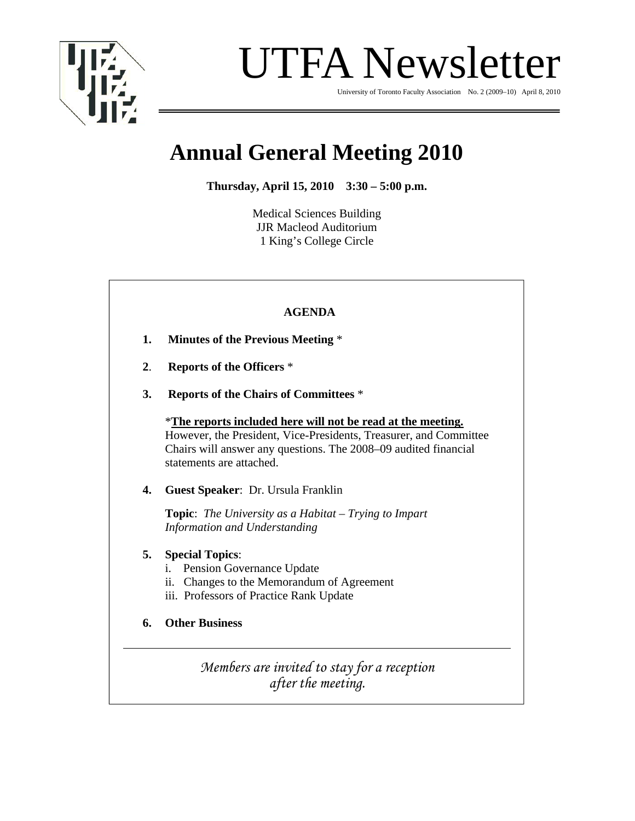

UTFA Newsletter

University of Toronto Faculty Association No. 2 (2009–10) April 8, 2010

# **Annual General Meeting 2010**

**Thursday, April 15, 2010 3:30 – 5:00 p.m.** 

Medical Sciences Building JJR Macleod Auditorium 1 King's College Circle

|    | <b>AGENDA</b>                                                                                                                                                                                                                   |
|----|---------------------------------------------------------------------------------------------------------------------------------------------------------------------------------------------------------------------------------|
| 1. | <b>Minutes of the Previous Meeting *</b>                                                                                                                                                                                        |
| 2. | <b>Reports of the Officers *</b>                                                                                                                                                                                                |
| 3. | <b>Reports of the Chairs of Committees *</b>                                                                                                                                                                                    |
|    | *The reports included here will not be read at the meeting.<br>However, the President, Vice-Presidents, Treasurer, and Committee<br>Chairs will answer any questions. The 2008–09 audited financial<br>statements are attached. |
| 4. | Guest Speaker: Dr. Ursula Franklin                                                                                                                                                                                              |
|    | <b>Topic:</b> The University as a Habitat – Trying to Impart<br><b>Information and Understanding</b>                                                                                                                            |
| 5. | <b>Special Topics:</b><br>Pension Governance Update<br>$\mathbf{1}$ .<br>Changes to the Memorandum of Agreement<br>11.<br>iii. Professors of Practice Rank Update                                                               |
| 6. | <b>Other Business</b>                                                                                                                                                                                                           |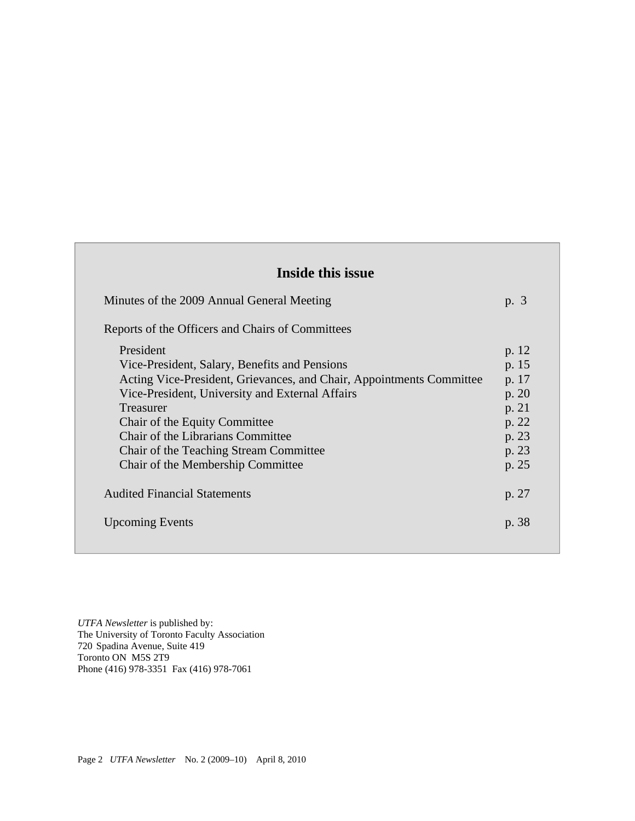# **Inside this issue**

| Minutes of the 2009 Annual General Meeting                                                                                                                                                                                                                                                                                                                     | p. 3                                                                          |
|----------------------------------------------------------------------------------------------------------------------------------------------------------------------------------------------------------------------------------------------------------------------------------------------------------------------------------------------------------------|-------------------------------------------------------------------------------|
| Reports of the Officers and Chairs of Committees                                                                                                                                                                                                                                                                                                               |                                                                               |
| President<br>Vice-President, Salary, Benefits and Pensions<br>Acting Vice-President, Grievances, and Chair, Appointments Committee<br>Vice-President, University and External Affairs<br><b>Treasurer</b><br>Chair of the Equity Committee<br>Chair of the Librarians Committee<br>Chair of the Teaching Stream Committee<br>Chair of the Membership Committee | p. 12<br>p. 15<br>p. 17<br>p. 20<br>p. 21<br>p. 22<br>p. 23<br>p. 23<br>p. 25 |
| <b>Audited Financial Statements</b>                                                                                                                                                                                                                                                                                                                            | p. 27                                                                         |
| <b>Upcoming Events</b>                                                                                                                                                                                                                                                                                                                                         | p. 38                                                                         |

*UTFA Newsletter* is published by: The University of Toronto Faculty Association 720 Spadina Avenue, Suite 419 Toronto ON M5S 2T9 Phone (416) 978-3351 Fax (416) 978-7061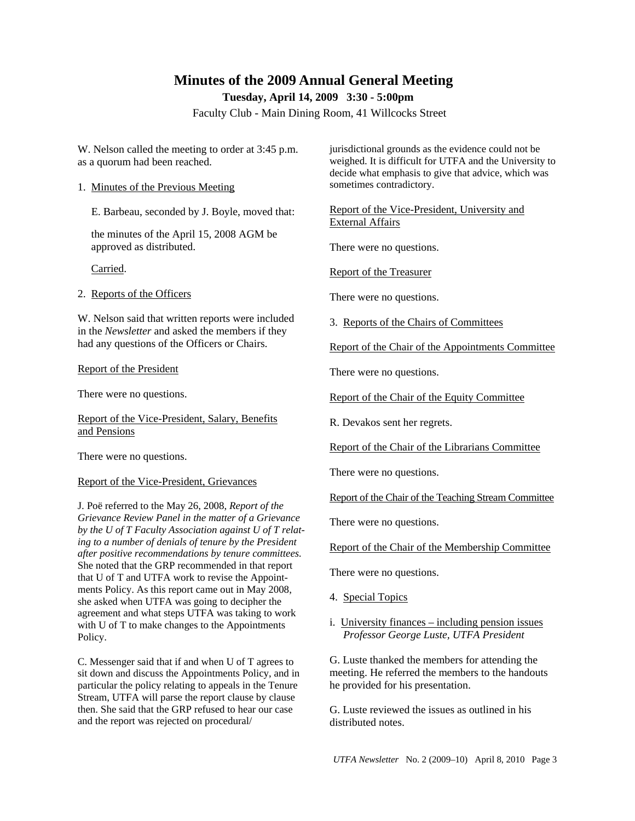# **Minutes of the 2009 Annual General Meeting**

**Tuesday, April 14, 2009 3:30 - 5:00pm** 

Faculty Club - Main Dining Room, 41 Willcocks Street

W. Nelson called the meeting to order at 3:45 p.m. as a quorum had been reached.

1. Minutes of the Previous Meeting

E. Barbeau, seconded by J. Boyle, moved that:

 the minutes of the April 15, 2008 AGM be approved as distributed.

Carried.

2. Reports of the Officers

W. Nelson said that written reports were included in the *Newsletter* and asked the members if they had any questions of the Officers or Chairs.

#### Report of the President

There were no questions.

Report of the Vice-President, Salary, Benefits and Pensions

There were no questions.

#### Report of the Vice-President, Grievances

J. Poë referred to the May 26, 2008, *Report of the Grievance Review Panel in the matter of a Grievance by the U of T Faculty Association against U of T relating to a number of denials of tenure by the President after positive recommendations by tenure committees.* She noted that the GRP recommended in that report that U of T and UTFA work to revise the Appointments Policy. As this report came out in May 2008, she asked when UTFA was going to decipher the agreement and what steps UTFA was taking to work with U of T to make changes to the Appointments Policy.

C. Messenger said that if and when U of T agrees to sit down and discuss the Appointments Policy, and in particular the policy relating to appeals in the Tenure Stream, UTFA will parse the report clause by clause then. She said that the GRP refused to hear our case and the report was rejected on procedural/

jurisdictional grounds as the evidence could not be weighed. It is difficult for UTFA and the University to decide what emphasis to give that advice, which was sometimes contradictory.

Report of the Vice-President, University and External Affairs

There were no questions.

Report of the Treasurer

There were no questions.

3. Reports of the Chairs of Committees

Report of the Chair of the Appointments Committee

There were no questions.

Report of the Chair of the Equity Committee

R. Devakos sent her regrets.

Report of the Chair of the Librarians Committee

There were no questions.

Report of the Chair of the Teaching Stream Committee

There were no questions.

Report of the Chair of the Membership Committee

There were no questions.

- 4. Special Topics
- i. University finances including pension issues *Professor George Luste, UTFA President*

G. Luste thanked the members for attending the meeting. He referred the members to the handouts he provided for his presentation.

G. Luste reviewed the issues as outlined in his distributed notes.

*UTFA Newsletter* No. 2 (2009–10) April 8, 2010 Page 3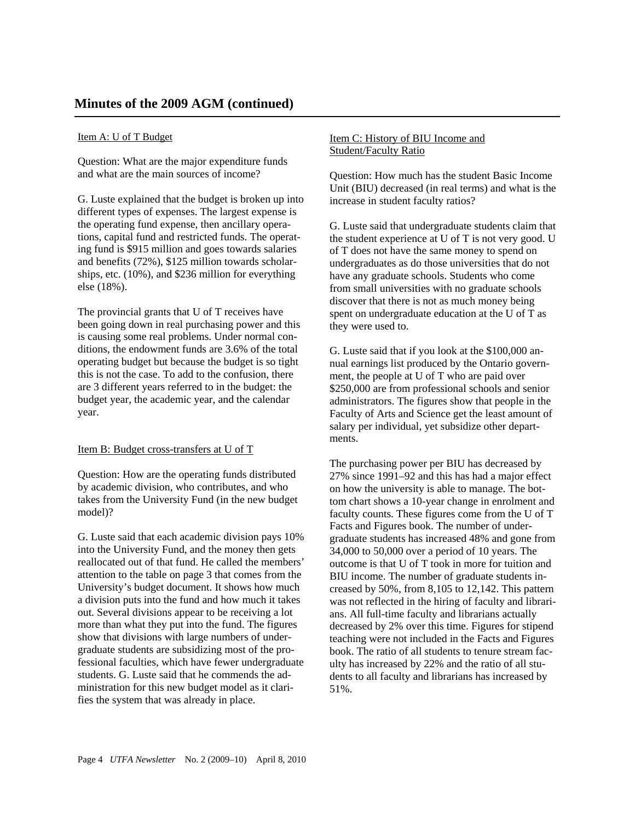## Item A: U of T Budget

Question: What are the major expenditure funds and what are the main sources of income?

G. Luste explained that the budget is broken up into different types of expenses. The largest expense is the operating fund expense, then ancillary operations, capital fund and restricted funds. The operating fund is \$915 million and goes towards salaries and benefits (72%), \$125 million towards scholarships, etc. (10%), and \$236 million for everything else (18%).

The provincial grants that U of T receives have been going down in real purchasing power and this is causing some real problems. Under normal conditions, the endowment funds are 3.6% of the total operating budget but because the budget is so tight this is not the case. To add to the confusion, there are 3 different years referred to in the budget: the budget year, the academic year, and the calendar year.

#### Item B: Budget cross-transfers at U of T

Question: How are the operating funds distributed by academic division, who contributes, and who takes from the University Fund (in the new budget model)?

G. Luste said that each academic division pays 10% into the University Fund, and the money then gets reallocated out of that fund. He called the members' attention to the table on page 3 that comes from the University's budget document. It shows how much a division puts into the fund and how much it takes out. Several divisions appear to be receiving a lot more than what they put into the fund. The figures show that divisions with large numbers of undergraduate students are subsidizing most of the professional faculties, which have fewer undergraduate students. G. Luste said that he commends the administration for this new budget model as it clarifies the system that was already in place.

## Item C: History of BIU Income and Student/Faculty Ratio

Question: How much has the student Basic Income Unit (BIU) decreased (in real terms) and what is the increase in student faculty ratios?

G. Luste said that undergraduate students claim that the student experience at U of T is not very good. U of T does not have the same money to spend on undergraduates as do those universities that do not have any graduate schools. Students who come from small universities with no graduate schools discover that there is not as much money being spent on undergraduate education at the U of T as they were used to.

G. Luste said that if you look at the \$100,000 annual earnings list produced by the Ontario government, the people at U of T who are paid over \$250,000 are from professional schools and senior administrators. The figures show that people in the Faculty of Arts and Science get the least amount of salary per individual, yet subsidize other departments.

The purchasing power per BIU has decreased by 27% since 1991–92 and this has had a major effect on how the university is able to manage. The bottom chart shows a 10-year change in enrolment and faculty counts. These figures come from the U of T Facts and Figures book. The number of undergraduate students has increased 48% and gone from 34,000 to 50,000 over a period of 10 years. The outcome is that U of T took in more for tuition and BIU income. The number of graduate students increased by 50%, from 8,105 to 12,142. This pattern was not reflected in the hiring of faculty and librarians. All full-time faculty and librarians actually decreased by 2% over this time. Figures for stipend teaching were not included in the Facts and Figures book. The ratio of all students to tenure stream faculty has increased by 22% and the ratio of all students to all faculty and librarians has increased by 51%.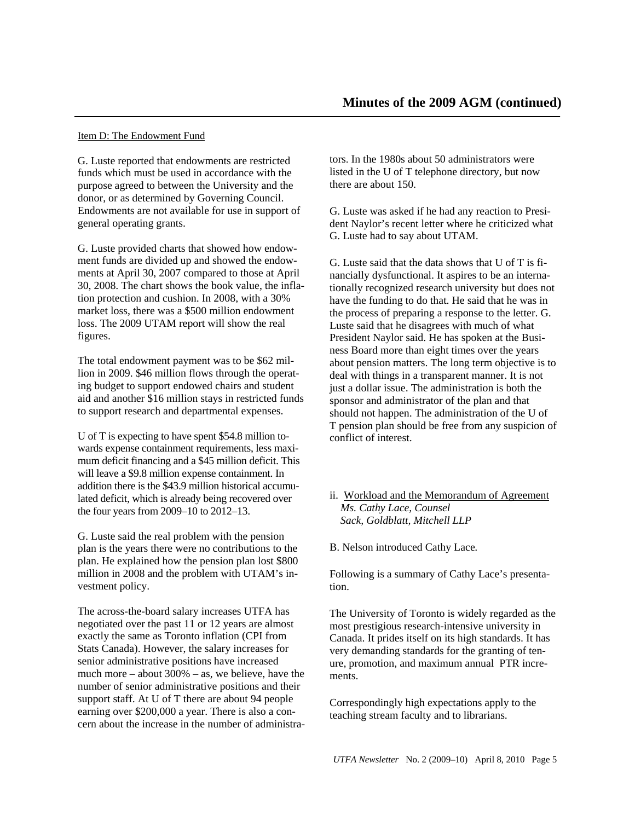#### Item D: The Endowment Fund

G. Luste reported that endowments are restricted funds which must be used in accordance with the purpose agreed to between the University and the donor, or as determined by Governing Council. Endowments are not available for use in support of general operating grants.

G. Luste provided charts that showed how endowment funds are divided up and showed the endowments at April 30, 2007 compared to those at April 30, 2008. The chart shows the book value, the inflation protection and cushion. In 2008, with a 30% market loss, there was a \$500 million endowment loss. The 2009 UTAM report will show the real figures.

The total endowment payment was to be \$62 million in 2009. \$46 million flows through the operating budget to support endowed chairs and student aid and another \$16 million stays in restricted funds to support research and departmental expenses.

U of T is expecting to have spent \$54.8 million towards expense containment requirements, less maximum deficit financing and a \$45 million deficit. This will leave a \$9.8 million expense containment. In addition there is the \$43.9 million historical accumulated deficit, which is already being recovered over the four years from 2009–10 to 2012–13.

G. Luste said the real problem with the pension plan is the years there were no contributions to the plan. He explained how the pension plan lost \$800 million in 2008 and the problem with UTAM's investment policy.

The across-the-board salary increases UTFA has negotiated over the past 11 or 12 years are almost exactly the same as Toronto inflation (CPI from Stats Canada). However, the salary increases for senior administrative positions have increased much more – about  $300%$  – as, we believe, have the number of senior administrative positions and their support staff. At U of T there are about 94 people earning over \$200,000 a year. There is also a concern about the increase in the number of administrators. In the 1980s about 50 administrators were listed in the U of T telephone directory, but now there are about 150.

G. Luste was asked if he had any reaction to President Naylor's recent letter where he criticized what G. Luste had to say about UTAM.

G. Luste said that the data shows that U of T is financially dysfunctional. It aspires to be an internationally recognized research university but does not have the funding to do that. He said that he was in the process of preparing a response to the letter. G. Luste said that he disagrees with much of what President Naylor said. He has spoken at the Business Board more than eight times over the years about pension matters. The long term objective is to deal with things in a transparent manner. It is not just a dollar issue. The administration is both the sponsor and administrator of the plan and that should not happen. The administration of the U of T pension plan should be free from any suspicion of conflict of interest.

## ii. Workload and the Memorandum of Agreement *Ms. Cathy Lace, Counsel Sack, Goldblatt, Mitchell LLP*

B. Nelson introduced Cathy Lace*.* 

Following is a summary of Cathy Lace's presentation.

The University of Toronto is widely regarded as the most prestigious research-intensive university in Canada. It prides itself on its high standards. It has very demanding standards for the granting of tenure, promotion, and maximum annual PTR increments.

Correspondingly high expectations apply to the teaching stream faculty and to librarians.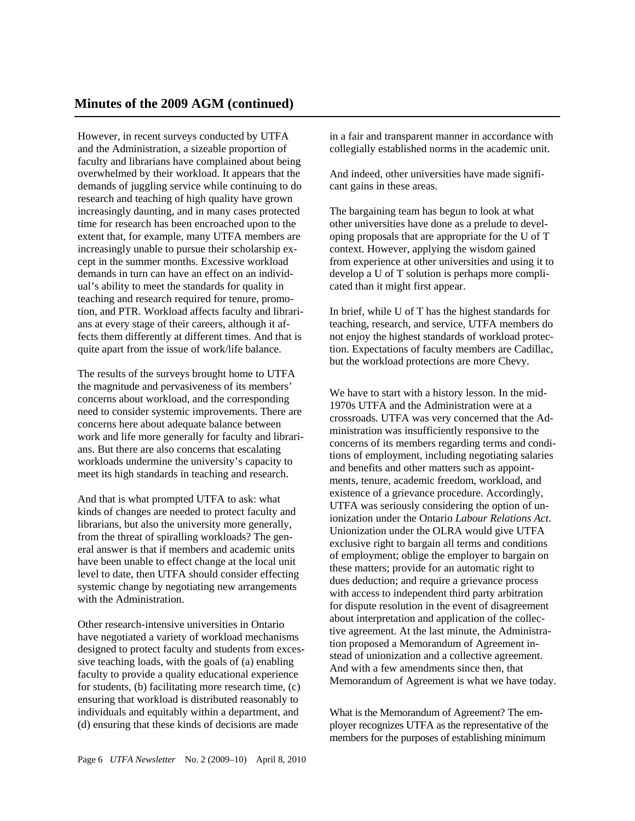However, in recent surveys conducted by UTFA and the Administration, a sizeable proportion of faculty and librarians have complained about being overwhelmed by their workload. It appears that the demands of juggling service while continuing to do research and teaching of high quality have grown increasingly daunting, and in many cases protected time for research has been encroached upon to the extent that, for example, many UTFA members are increasingly unable to pursue their scholarship except in the summer months. Excessive workload demands in turn can have an effect on an individual's ability to meet the standards for quality in teaching and research required for tenure, promotion, and PTR. Workload affects faculty and librarians at every stage of their careers, although it affects them differently at different times. And that is quite apart from the issue of work/life balance.

The results of the surveys brought home to UTFA the magnitude and pervasiveness of its members' concerns about workload, and the corresponding need to consider systemic improvements. There are concerns here about adequate balance between work and life more generally for faculty and librarians. But there are also concerns that escalating workloads undermine the university's capacity to meet its high standards in teaching and research.

And that is what prompted UTFA to ask: what kinds of changes are needed to protect faculty and librarians, but also the university more generally, from the threat of spiralling workloads? The general answer is that if members and academic units have been unable to effect change at the local unit level to date, then UTFA should consider effecting systemic change by negotiating new arrangements with the Administration.

Other research-intensive universities in Ontario have negotiated a variety of workload mechanisms designed to protect faculty and students from excessive teaching loads, with the goals of (a) enabling faculty to provide a quality educational experience for students, (b) facilitating more research time, (c) ensuring that workload is distributed reasonably to individuals and equitably within a department, and (d) ensuring that these kinds of decisions are made

in a fair and transparent manner in accordance with collegially established norms in the academic unit.

And indeed, other universities have made significant gains in these areas.

The bargaining team has begun to look at what other universities have done as a prelude to developing proposals that are appropriate for the U of T context. However, applying the wisdom gained from experience at other universities and using it to develop a U of T solution is perhaps more complicated than it might first appear.

In brief, while U of T has the highest standards for teaching, research, and service, UTFA members do not enjoy the highest standards of workload protection. Expectations of faculty members are Cadillac, but the workload protections are more Chevy.

We have to start with a history lesson. In the mid-1970s UTFA and the Administration were at a crossroads. UTFA was very concerned that the Administration was insufficiently responsive to the concerns of its members regarding terms and conditions of employment, including negotiating salaries and benefits and other matters such as appointments, tenure, academic freedom, workload, and existence of a grievance procedure. Accordingly, UTFA was seriously considering the option of unionization under the Ontario *Labour Relations Act*. Unionization under the OLRA would give UTFA exclusive right to bargain all terms and conditions of employment; oblige the employer to bargain on these matters; provide for an automatic right to dues deduction; and require a grievance process with access to independent third party arbitration for dispute resolution in the event of disagreement about interpretation and application of the collective agreement. At the last minute, the Administration proposed a Memorandum of Agreement instead of unionization and a collective agreement. And with a few amendments since then, that Memorandum of Agreement is what we have today.

What is the Memorandum of Agreement? The employer recognizes UTFA as the representative of the members for the purposes of establishing minimum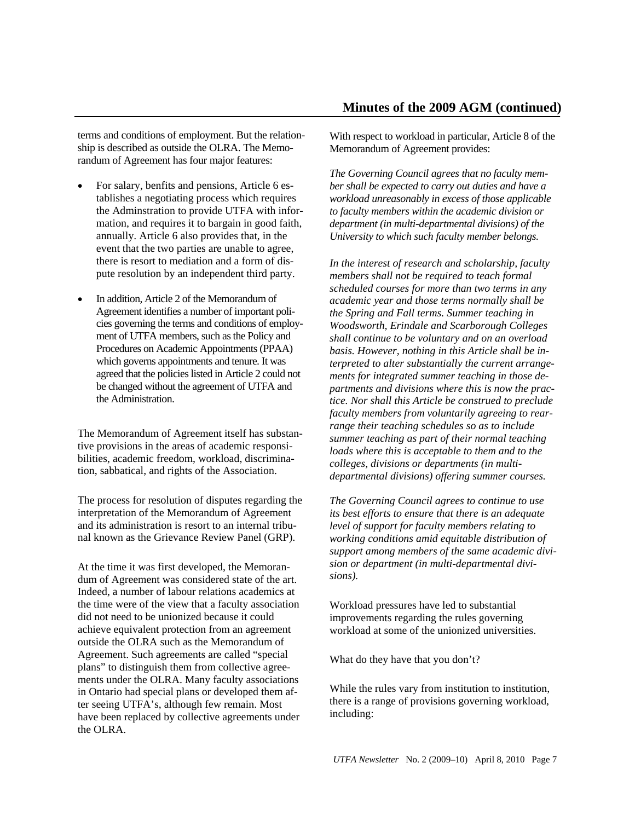terms and conditions of employment. But the relationship is described as outside the OLRA. The Memorandum of Agreement has four major features:

- For salary, benfits and pensions, Article 6 establishes a negotiating process which requires the Adminstration to provide UTFA with information, and requires it to bargain in good faith, annually. Article 6 also provides that, in the event that the two parties are unable to agree, there is resort to mediation and a form of dispute resolution by an independent third party.
- In addition, Article 2 of the Memorandum of Agreement identifies a number of important policies governing the terms and conditions of employment of UTFA members, such as the Policy and Procedures on Academic Appointments (PPAA) which governs appointments and tenure. It was agreed that the policies listed in Article 2 could not be changed without the agreement of UTFA and the Administration.

The Memorandum of Agreement itself has substantive provisions in the areas of academic responsibilities, academic freedom, workload, discrimination, sabbatical, and rights of the Association.

The process for resolution of disputes regarding the interpretation of the Memorandum of Agreement and its administration is resort to an internal tribunal known as the Grievance Review Panel (GRP).

At the time it was first developed, the Memorandum of Agreement was considered state of the art. Indeed, a number of labour relations academics at the time were of the view that a faculty association did not need to be unionized because it could achieve equivalent protection from an agreement outside the OLRA such as the Memorandum of Agreement. Such agreements are called "special plans" to distinguish them from collective agreements under the OLRA. Many faculty associations in Ontario had special plans or developed them after seeing UTFA's, although few remain. Most have been replaced by collective agreements under the OLRA.

With respect to workload in particular, Article 8 of the Memorandum of Agreement provides:

*The Governing Council agrees that no faculty member shall be expected to carry out duties and have a workload unreasonably in excess of those applicable to faculty members within the academic division or department (in multi-departmental divisions) of the University to which such faculty member belongs.* 

*In the interest of research and scholarship, faculty members shall not be required to teach formal scheduled courses for more than two terms in any academic year and those terms normally shall be the Spring and Fall terms. Summer teaching in Woodsworth, Erindale and Scarborough Colleges shall continue to be voluntary and on an overload basis. However, nothing in this Article shall be interpreted to alter substantially the current arrangements for integrated summer teaching in those departments and divisions where this is now the practice. Nor shall this Article be construed to preclude faculty members from voluntarily agreeing to rearrange their teaching schedules so as to include summer teaching as part of their normal teaching loads where this is acceptable to them and to the colleges, divisions or departments (in multidepartmental divisions) offering summer courses.*

*The Governing Council agrees to continue to use its best efforts to ensure that there is an adequate level of support for faculty members relating to working conditions amid equitable distribution of support among members of the same academic division or department (in multi-departmental divisions).* 

Workload pressures have led to substantial improvements regarding the rules governing workload at some of the unionized universities.

What do they have that you don't?

While the rules vary from institution to institution, there is a range of provisions governing workload, including: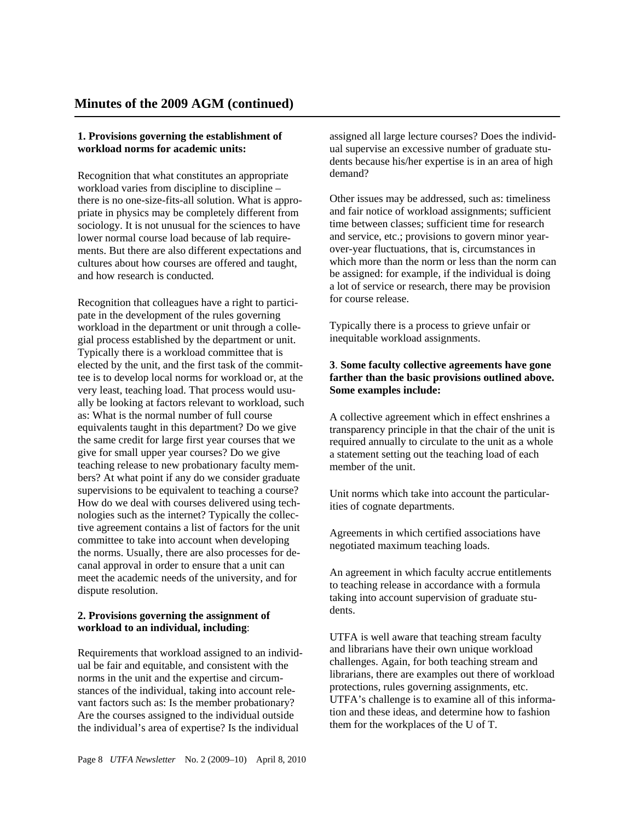## **1. Provisions governing the establishment of workload norms for academic units:**

Recognition that what constitutes an appropriate workload varies from discipline to discipline – there is no one-size-fits-all solution. What is appropriate in physics may be completely different from sociology. It is not unusual for the sciences to have lower normal course load because of lab requirements. But there are also different expectations and cultures about how courses are offered and taught, and how research is conducted.

Recognition that colleagues have a right to participate in the development of the rules governing workload in the department or unit through a collegial process established by the department or unit. Typically there is a workload committee that is elected by the unit, and the first task of the committee is to develop local norms for workload or, at the very least, teaching load. That process would usually be looking at factors relevant to workload, such as: What is the normal number of full course equivalents taught in this department? Do we give the same credit for large first year courses that we give for small upper year courses? Do we give teaching release to new probationary faculty members? At what point if any do we consider graduate supervisions to be equivalent to teaching a course? How do we deal with courses delivered using technologies such as the internet? Typically the collective agreement contains a list of factors for the unit committee to take into account when developing the norms. Usually, there are also processes for decanal approval in order to ensure that a unit can meet the academic needs of the university, and for dispute resolution.

## **2. Provisions governing the assignment of workload to an individual, including**:

Requirements that workload assigned to an individual be fair and equitable, and consistent with the norms in the unit and the expertise and circumstances of the individual, taking into account relevant factors such as: Is the member probationary? Are the courses assigned to the individual outside the individual's area of expertise? Is the individual

assigned all large lecture courses? Does the individual supervise an excessive number of graduate students because his/her expertise is in an area of high demand?

Other issues may be addressed, such as: timeliness and fair notice of workload assignments; sufficient time between classes; sufficient time for research and service, etc.; provisions to govern minor yearover-year fluctuations, that is, circumstances in which more than the norm or less than the norm can be assigned: for example, if the individual is doing a lot of service or research, there may be provision for course release.

Typically there is a process to grieve unfair or inequitable workload assignments.

## **3**. **Some faculty collective agreements have gone farther than the basic provisions outlined above. Some examples include:**

A collective agreement which in effect enshrines a transparency principle in that the chair of the unit is required annually to circulate to the unit as a whole a statement setting out the teaching load of each member of the unit.

Unit norms which take into account the particularities of cognate departments.

Agreements in which certified associations have negotiated maximum teaching loads.

An agreement in which faculty accrue entitlements to teaching release in accordance with a formula taking into account supervision of graduate students.

UTFA is well aware that teaching stream faculty and librarians have their own unique workload challenges. Again, for both teaching stream and librarians, there are examples out there of workload protections, rules governing assignments, etc. UTFA's challenge is to examine all of this information and these ideas, and determine how to fashion them for the workplaces of the U of T.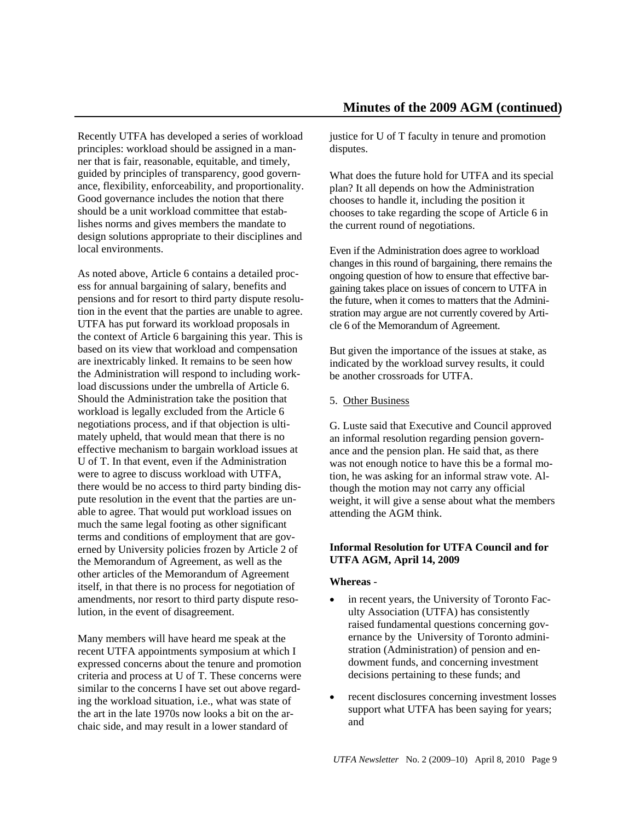Recently UTFA has developed a series of workload principles: workload should be assigned in a manner that is fair, reasonable, equitable, and timely, guided by principles of transparency, good governance, flexibility, enforceability, and proportionality. Good governance includes the notion that there should be a unit workload committee that establishes norms and gives members the mandate to design solutions appropriate to their disciplines and local environments.

As noted above, Article 6 contains a detailed process for annual bargaining of salary, benefits and pensions and for resort to third party dispute resolution in the event that the parties are unable to agree. UTFA has put forward its workload proposals in the context of Article 6 bargaining this year. This is based on its view that workload and compensation are inextricably linked. It remains to be seen how the Administration will respond to including workload discussions under the umbrella of Article 6. Should the Administration take the position that workload is legally excluded from the Article 6 negotiations process, and if that objection is ultimately upheld, that would mean that there is no effective mechanism to bargain workload issues at U of T. In that event, even if the Administration were to agree to discuss workload with UTFA, there would be no access to third party binding dispute resolution in the event that the parties are unable to agree. That would put workload issues on much the same legal footing as other significant terms and conditions of employment that are governed by University policies frozen by Article 2 of the Memorandum of Agreement, as well as the other articles of the Memorandum of Agreement itself, in that there is no process for negotiation of amendments, nor resort to third party dispute resolution, in the event of disagreement.

Many members will have heard me speak at the recent UTFA appointments symposium at which I expressed concerns about the tenure and promotion criteria and process at U of T. These concerns were similar to the concerns I have set out above regarding the workload situation, i.e., what was state of the art in the late 1970s now looks a bit on the archaic side, and may result in a lower standard of

justice for U of T faculty in tenure and promotion disputes.

What does the future hold for UTFA and its special plan? It all depends on how the Administration chooses to handle it, including the position it chooses to take regarding the scope of Article 6 in the current round of negotiations.

Even if the Administration does agree to workload changes in this round of bargaining, there remains the ongoing question of how to ensure that effective bargaining takes place on issues of concern to UTFA in the future, when it comes to matters that the Administration may argue are not currently covered by Article 6 of the Memorandum of Agreement.

But given the importance of the issues at stake, as indicated by the workload survey results, it could be another crossroads for UTFA.

5. Other Business

G. Luste said that Executive and Council approved an informal resolution regarding pension governance and the pension plan. He said that, as there was not enough notice to have this be a formal motion, he was asking for an informal straw vote. Although the motion may not carry any official weight, it will give a sense about what the members attending the AGM think.

## **Informal Resolution for UTFA Council and for UTFA AGM, April 14, 2009**

## **Whereas** -

- in recent years, the University of Toronto Faculty Association (UTFA) has consistently raised fundamental questions concerning governance by the University of Toronto administration (Administration) of pension and endowment funds, and concerning investment decisions pertaining to these funds; and
- recent disclosures concerning investment losses support what UTFA has been saying for years; and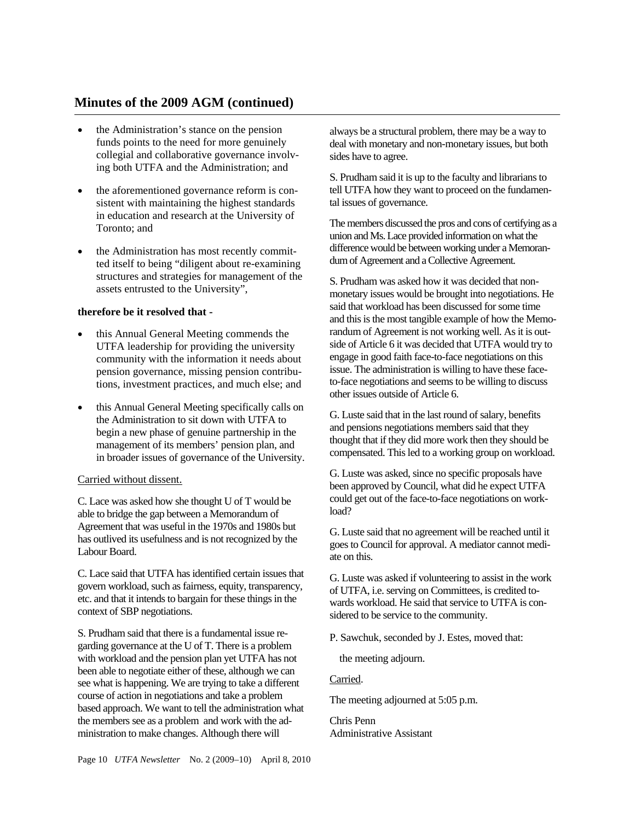## **Minutes of the 2009 AGM (continued)**

- the Administration's stance on the pension funds points to the need for more genuinely collegial and collaborative governance involving both UTFA and the Administration; and
- the aforementioned governance reform is consistent with maintaining the highest standards in education and research at the University of Toronto; and
- the Administration has most recently committed itself to being "diligent about re-examining structures and strategies for management of the assets entrusted to the University",

## **therefore be it resolved that -**

- this Annual General Meeting commends the UTFA leadership for providing the university community with the information it needs about pension governance, missing pension contributions, investment practices, and much else; and
- this Annual General Meeting specifically calls on the Administration to sit down with UTFA to begin a new phase of genuine partnership in the management of its members' pension plan, and in broader issues of governance of the University.

## Carried without dissent.

C. Lace was asked how she thought U of T would be able to bridge the gap between a Memorandum of Agreement that was useful in the 1970s and 1980s but has outlived its usefulness and is not recognized by the Labour Board.

C. Lace said that UTFA has identified certain issues that govern workload, such as fairness, equity, transparency, etc. and that it intends to bargain for these things in the context of SBP negotiations.

S. Prudham said that there is a fundamental issue regarding governance at the U of T. There is a problem with workload and the pension plan yet UTFA has not been able to negotiate either of these, although we can see what is happening. We are trying to take a different course of action in negotiations and take a problem based approach. We want to tell the administration what the members see as a problem and work with the administration to make changes. Although there will

always be a structural problem, there may be a way to deal with monetary and non-monetary issues, but both sides have to agree.

S. Prudham said it is up to the faculty and librarians to tell UTFA how they want to proceed on the fundamental issues of governance.

The members discussed the pros and cons of certifying as a union and Ms. Lace provided information on what the difference would be between working under a Memorandum of Agreement and a Collective Agreement.

S. Prudham was asked how it was decided that nonmonetary issues would be brought into negotiations. He said that workload has been discussed for some time and this is the most tangible example of how the Memorandum of Agreement is not working well. As it is outside of Article 6 it was decided that UTFA would try to engage in good faith face-to-face negotiations on this issue. The administration is willing to have these faceto-face negotiations and seems to be willing to discuss other issues outside of Article 6.

G. Luste said that in the last round of salary, benefits and pensions negotiations members said that they thought that if they did more work then they should be compensated. This led to a working group on workload.

G. Luste was asked, since no specific proposals have been approved by Council, what did he expect UTFA could get out of the face-to-face negotiations on workload?

G. Luste said that no agreement will be reached until it goes to Council for approval. A mediator cannot mediate on this.

G. Luste was asked if volunteering to assist in the work of UTFA, i.e. serving on Committees, is credited towards workload. He said that service to UTFA is considered to be service to the community.

P. Sawchuk, seconded by J. Estes, moved that:

the meeting adjourn.

#### Carried.

The meeting adjourned at 5:05 p.m.

Chris Penn Administrative Assistant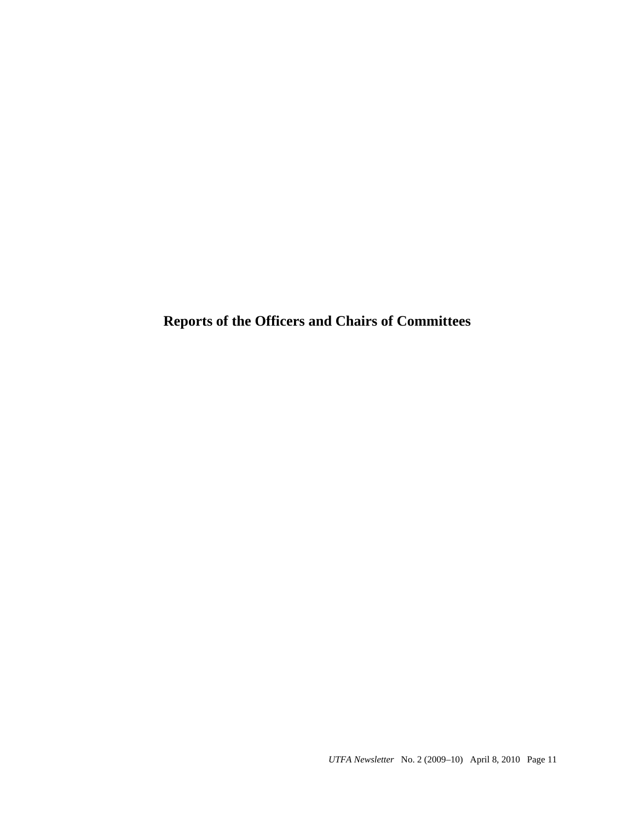**Reports of the Officers and Chairs of Committees**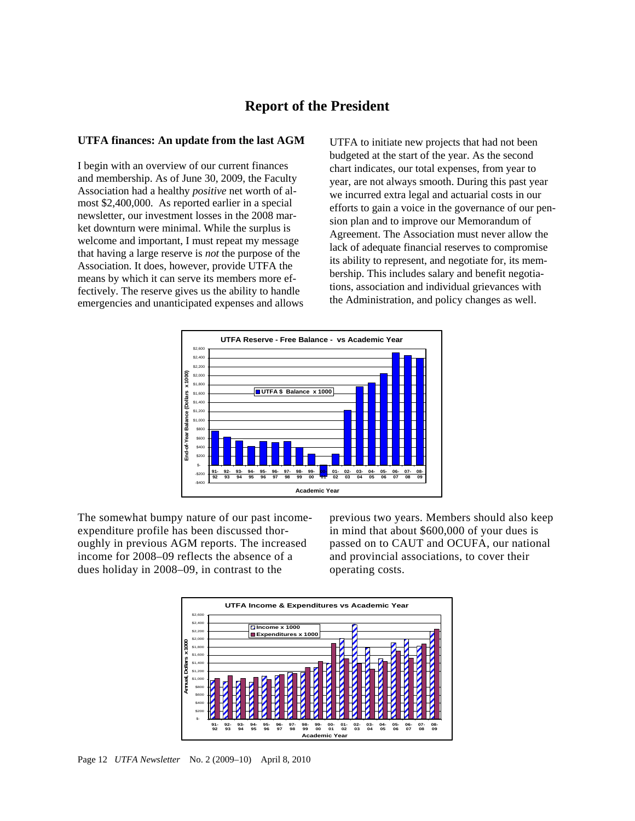## **Report of the President**

#### **UTFA finances: An update from the last AGM**

I begin with an overview of our current finances and membership. As of June 30, 2009, the Faculty Association had a healthy *positive* net worth of almost \$2,400,000. As reported earlier in a special newsletter, our investment losses in the 2008 market downturn were minimal. While the surplus is welcome and important, I must repeat my message that having a large reserve is *not* the purpose of the Association. It does, however, provide UTFA the means by which it can serve its members more effectively. The reserve gives us the ability to handle emergencies and unanticipated expenses and allows

UTFA to initiate new projects that had not been budgeted at the start of the year. As the second chart indicates, our total expenses, from year to year, are not always smooth. During this past year we incurred extra legal and actuarial costs in our efforts to gain a voice in the governance of our pension plan and to improve our Memorandum of Agreement. The Association must never allow the lack of adequate financial reserves to compromise its ability to represent, and negotiate for, its membership. This includes salary and benefit negotiations, association and individual grievances with the Administration, and policy changes as well.



The somewhat bumpy nature of our past incomeexpenditure profile has been discussed thoroughly in previous AGM reports. The increased income for 2008–09 reflects the absence of a dues holiday in 2008–09, in contrast to the

previous two years. Members should also keep in mind that about \$600,000 of your dues is passed on to CAUT and OCUFA, our national and provincial associations, to cover their operating costs.



Page 12 *UTFA Newsletter* No. 2 (2009–10) April 8, 2010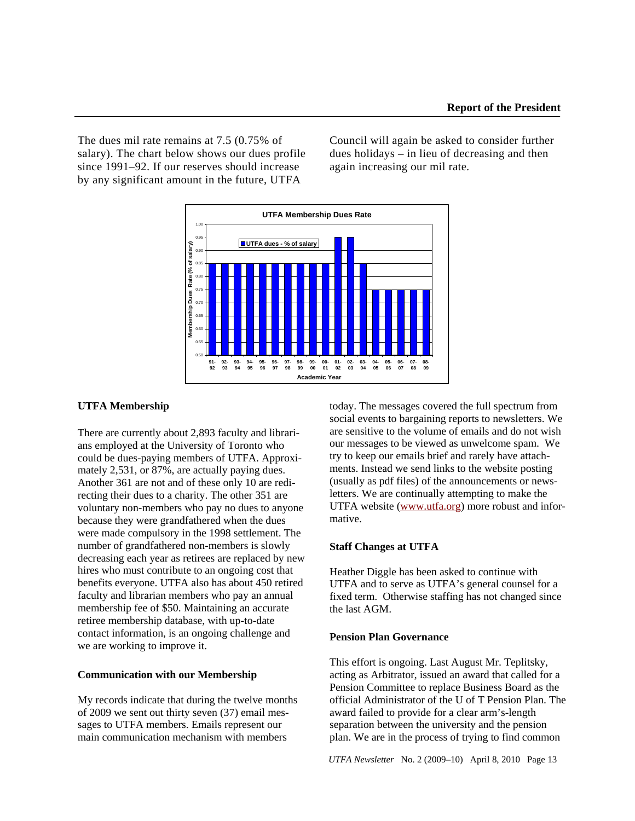The dues mil rate remains at 7.5 (0.75% of salary). The chart below shows our dues profile since 1991–92. If our reserves should increase by any significant amount in the future, UTFA

Council will again be asked to consider further dues holidays – in lieu of decreasing and then again increasing our mil rate.



#### **UTFA Membership**

There are currently about 2,893 faculty and librarians employed at the University of Toronto who could be dues-paying members of UTFA. Approximately 2,531, or 87%, are actually paying dues. Another 361 are not and of these only 10 are redirecting their dues to a charity. The other 351 are voluntary non-members who pay no dues to anyone because they were grandfathered when the dues were made compulsory in the 1998 settlement. The number of grandfathered non-members is slowly decreasing each year as retirees are replaced by new hires who must contribute to an ongoing cost that benefits everyone. UTFA also has about 450 retired faculty and librarian members who pay an annual membership fee of \$50. Maintaining an accurate retiree membership database, with up-to-date contact information, is an ongoing challenge and we are working to improve it.

## **Communication with our Membership**

My records indicate that during the twelve months of 2009 we sent out thirty seven (37) email messages to UTFA members. Emails represent our main communication mechanism with members

today. The messages covered the full spectrum from social events to bargaining reports to newsletters. We are sensitive to the volume of emails and do not wish our messages to be viewed as unwelcome spam. We try to keep our emails brief and rarely have attachments. Instead we send links to the website posting (usually as pdf files) of the announcements or newsletters. We are continually attempting to make the UTFA website (www.utfa.org) more robust and informative.

#### **Staff Changes at UTFA**

Heather Diggle has been asked to continue with UTFA and to serve as UTFA's general counsel for a fixed term. Otherwise staffing has not changed since the last AGM.

#### **Pension Plan Governance**

This effort is ongoing. Last August Mr. Teplitsky, acting as Arbitrator, issued an award that called for a Pension Committee to replace Business Board as the official Administrator of the U of T Pension Plan. The award failed to provide for a clear arm's-length separation between the university and the pension plan. We are in the process of trying to find common

*UTFA Newsletter* No. 2 (2009–10) April 8, 2010 Page 13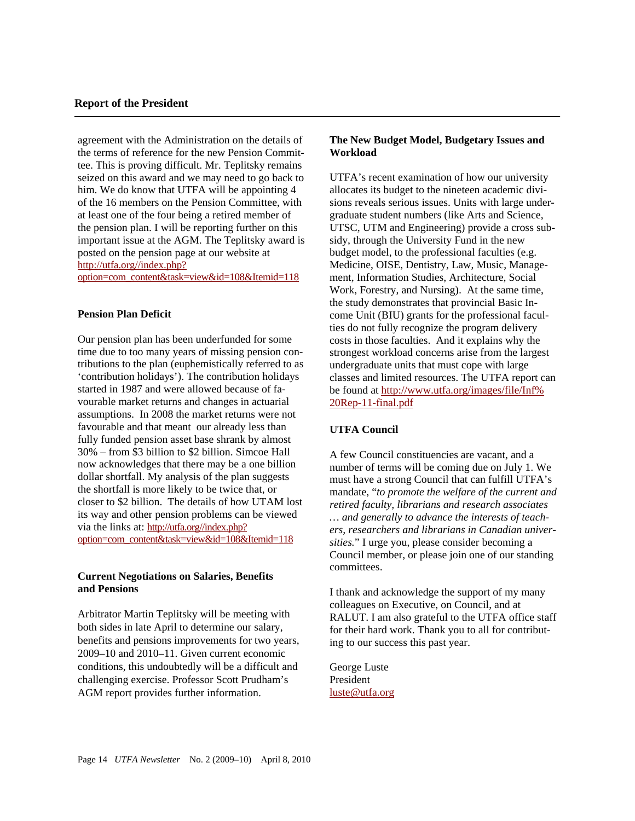agreement with the Administration on the details of the terms of reference for the new Pension Committee. This is proving difficult. Mr. Teplitsky remains seized on this award and we may need to go back to him. We do know that UTFA will be appointing 4 of the 16 members on the Pension Committee, with at least one of the four being a retired member of the pension plan. I will be reporting further on this important issue at the AGM. The Teplitsky award is posted on the pension page at our website at http://utfa.org//index.php? option=com\_content&task=view&id=108&Itemid=118

## **Pension Plan Deficit**

Our pension plan has been underfunded for some time due to too many years of missing pension contributions to the plan (euphemistically referred to as 'contribution holidays'). The contribution holidays started in 1987 and were allowed because of favourable market returns and changes in actuarial assumptions. In 2008 the market returns were not favourable and that meant our already less than fully funded pension asset base shrank by almost 30% – from \$3 billion to \$2 billion. Simcoe Hall now acknowledges that there may be a one billion dollar shortfall. My analysis of the plan suggests the shortfall is more likely to be twice that, or closer to \$2 billion. The details of how UTAM lost its way and other pension problems can be viewed via the links at: http://utfa.org//index.php? option=com\_content&task=view&id=108&Itemid=118

## **Current Negotiations on Salaries, Benefits and Pensions**

Arbitrator Martin Teplitsky will be meeting with both sides in late April to determine our salary, benefits and pensions improvements for two years, 2009–10 and 2010–11. Given current economic conditions, this undoubtedly will be a difficult and challenging exercise. Professor Scott Prudham's AGM report provides further information.

## **The New Budget Model, Budgetary Issues and Workload**

UTFA's recent examination of how our university allocates its budget to the nineteen academic divisions reveals serious issues. Units with large undergraduate student numbers (like Arts and Science, UTSC, UTM and Engineering) provide a cross subsidy, through the University Fund in the new budget model, to the professional faculties (e.g. Medicine, OISE, Dentistry, Law, Music, Management, Information Studies, Architecture, Social Work, Forestry, and Nursing). At the same time, the study demonstrates that provincial Basic Income Unit (BIU) grants for the professional faculties do not fully recognize the program delivery costs in those faculties. And it explains why the strongest workload concerns arise from the largest undergraduate units that must cope with large classes and limited resources. The UTFA report can be found at http://www.utfa.org/images/file/Inf% 20Rep-11-final.pdf

## **UTFA Council**

A few Council constituencies are vacant, and a number of terms will be coming due on July 1. We must have a strong Council that can fulfill UTFA's mandate, "*to promote the welfare of the current and retired faculty, librarians and research associates … and generally to advance the interests of teachers, researchers and librarians in Canadian universities.*" I urge you, please consider becoming a Council member, or please join one of our standing committees.

I thank and acknowledge the support of my many colleagues on Executive, on Council, and at RALUT. I am also grateful to the UTFA office staff for their hard work. Thank you to all for contributing to our success this past year.

George Luste President luste@utfa.org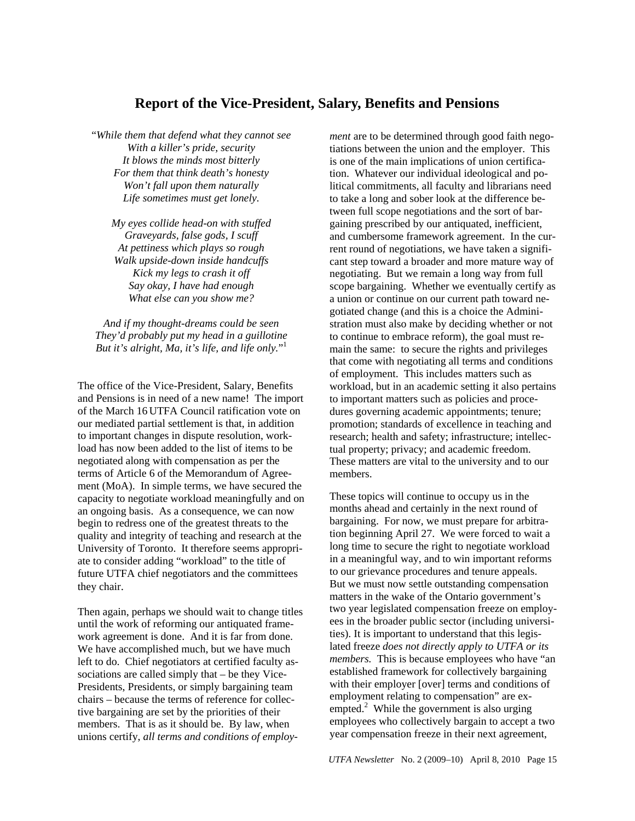## **Report of the Vice-President, Salary, Benefits and Pensions**

"*While them that defend what they cannot see With a killer's pride, security It blows the minds most bitterly For them that think death's honesty Won't fall upon them naturally Life sometimes must get lonely.* 

*My eyes collide head-on with stuffed Graveyards, false gods, I scuff At pettiness which plays so rough Walk upside-down inside handcuffs Kick my legs to crash it off Say okay, I have had enough What else can you show me?* 

*And if my thought-dreams could be seen They'd probably put my head in a guillotine But it's alright, Ma, it's life, and life only.*" 1

The office of the Vice-President, Salary, Benefits and Pensions is in need of a new name! The import of the March 16 UTFA Council ratification vote on our mediated partial settlement is that, in addition to important changes in dispute resolution, workload has now been added to the list of items to be negotiated along with compensation as per the terms of Article 6 of the Memorandum of Agreement (MoA). In simple terms, we have secured the capacity to negotiate workload meaningfully and on an ongoing basis. As a consequence, we can now begin to redress one of the greatest threats to the quality and integrity of teaching and research at the University of Toronto. It therefore seems appropriate to consider adding "workload" to the title of future UTFA chief negotiators and the committees they chair.

Then again, perhaps we should wait to change titles until the work of reforming our antiquated framework agreement is done. And it is far from done. We have accomplished much, but we have much left to do. Chief negotiators at certified faculty associations are called simply that – be they Vice-Presidents, Presidents, or simply bargaining team chairs – because the terms of reference for collective bargaining are set by the priorities of their members. That is as it should be. By law, when unions certify, *all terms and conditions of employ-* *ment* are to be determined through good faith negotiations between the union and the employer. This is one of the main implications of union certification. Whatever our individual ideological and political commitments, all faculty and librarians need to take a long and sober look at the difference between full scope negotiations and the sort of bargaining prescribed by our antiquated, inefficient, and cumbersome framework agreement. In the current round of negotiations, we have taken a significant step toward a broader and more mature way of negotiating. But we remain a long way from full scope bargaining. Whether we eventually certify as a union or continue on our current path toward negotiated change (and this is a choice the Administration must also make by deciding whether or not to continue to embrace reform), the goal must remain the same: to secure the rights and privileges that come with negotiating all terms and conditions of employment. This includes matters such as workload, but in an academic setting it also pertains to important matters such as policies and procedures governing academic appointments; tenure; promotion; standards of excellence in teaching and research; health and safety; infrastructure; intellectual property; privacy; and academic freedom. These matters are vital to the university and to our members.

These topics will continue to occupy us in the months ahead and certainly in the next round of bargaining. For now, we must prepare for arbitration beginning April 27. We were forced to wait a long time to secure the right to negotiate workload in a meaningful way, and to win important reforms to our grievance procedures and tenure appeals. But we must now settle outstanding compensation matters in the wake of the Ontario government's two year legislated compensation freeze on employees in the broader public sector (including universities). It is important to understand that this legislated freeze *does not directly apply to UTFA or its members.* This is because employees who have "an established framework for collectively bargaining with their employer [over] terms and conditions of employment relating to compensation" are exempted. $2$  While the government is also urging employees who collectively bargain to accept a two year compensation freeze in their next agreement,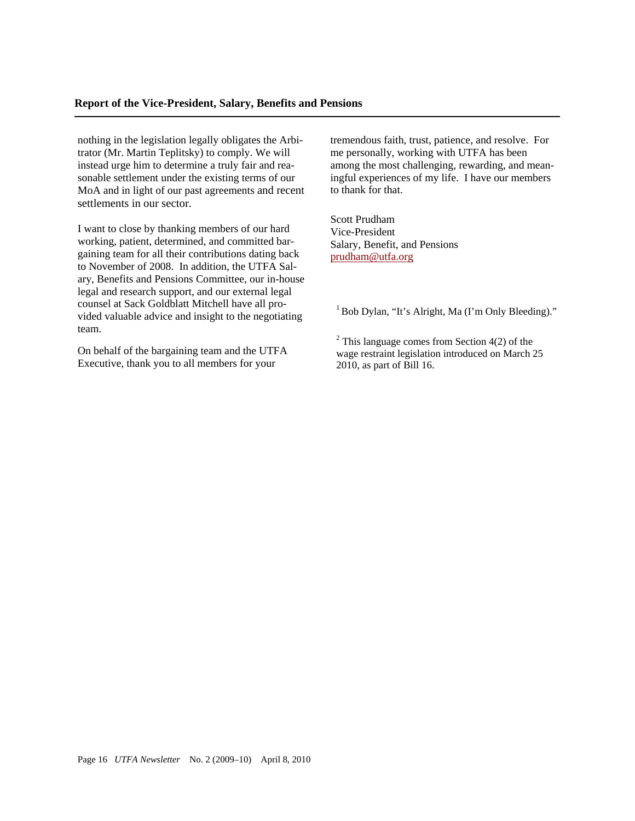nothing in the legislation legally obligates the Arbitrator (Mr. Martin Teplitsky) to comply. We will instead urge him to determine a truly fair and reasonable settlement under the existing terms of our MoA and in light of our past agreements and recent settlements in our sector.

I want to close by thanking members of our hard working, patient, determined, and committed bargaining team for all their contributions dating back to November of 2008. In addition, the UTFA Salary, Benefits and Pensions Committee, our in-house legal and research support, and our external legal counsel at Sack Goldblatt Mitchell have all provided valuable advice and insight to the negotiating team.

On behalf of the bargaining team and the UTFA Executive, thank you to all members for your

tremendous faith, trust, patience, and resolve. For me personally, working with UTFA has been among the most challenging, rewarding, and meaningful experiences of my life. I have our members to thank for that.

Scott Prudham Vice-President Salary, Benefit, and Pensions prudham@utfa.org

 $1$  Bob Dylan, "It's Alright, Ma (I'm Only Bleeding)."

 $2^2$  This language comes from Section 4(2) of the wage restraint legislation introduced on March 25 2010, as part of Bill 16.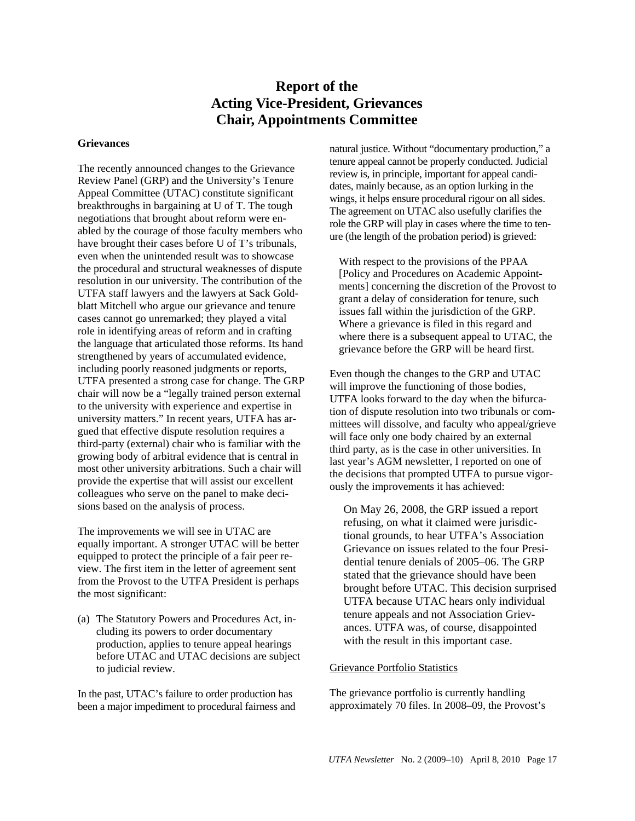# **Report of the Acting Vice-President, Grievances Chair, Appointments Committee**

#### **Grievances**

The recently announced changes to the Grievance Review Panel (GRP) and the University's Tenure Appeal Committee (UTAC) constitute significant breakthroughs in bargaining at U of T. The tough negotiations that brought about reform were enabled by the courage of those faculty members who have brought their cases before U of T's tribunals, even when the unintended result was to showcase the procedural and structural weaknesses of dispute resolution in our university. The contribution of the UTFA staff lawyers and the lawyers at Sack Goldblatt Mitchell who argue our grievance and tenure cases cannot go unremarked; they played a vital role in identifying areas of reform and in crafting the language that articulated those reforms. Its hand strengthened by years of accumulated evidence, including poorly reasoned judgments or reports, UTFA presented a strong case for change. The GRP chair will now be a "legally trained person external to the university with experience and expertise in university matters." In recent years, UTFA has argued that effective dispute resolution requires a third-party (external) chair who is familiar with the growing body of arbitral evidence that is central in most other university arbitrations. Such a chair will provide the expertise that will assist our excellent colleagues who serve on the panel to make decisions based on the analysis of process.

The improvements we will see in UTAC are equally important. A stronger UTAC will be better equipped to protect the principle of a fair peer review. The first item in the letter of agreement sent from the Provost to the UTFA President is perhaps the most significant:

(a) The Statutory Powers and Procedures Act, including its powers to order documentary production, applies to tenure appeal hearings before UTAC and UTAC decisions are subject to judicial review.

In the past, UTAC's failure to order production has been a major impediment to procedural fairness and natural justice. Without "documentary production," a tenure appeal cannot be properly conducted. Judicial review is, in principle, important for appeal candidates, mainly because, as an option lurking in the wings, it helps ensure procedural rigour on all sides. The agreement on UTAC also usefully clarifies the role the GRP will play in cases where the time to tenure (the length of the probation period) is grieved:

With respect to the provisions of the PPAA [Policy and Procedures on Academic Appointments] concerning the discretion of the Provost to grant a delay of consideration for tenure, such issues fall within the jurisdiction of the GRP. Where a grievance is filed in this regard and where there is a subsequent appeal to UTAC, the grievance before the GRP will be heard first.

Even though the changes to the GRP and UTAC will improve the functioning of those bodies, UTFA looks forward to the day when the bifurcation of dispute resolution into two tribunals or committees will dissolve, and faculty who appeal/grieve will face only one body chaired by an external third party, as is the case in other universities. In last year's AGM newsletter, I reported on one of the decisions that prompted UTFA to pursue vigorously the improvements it has achieved:

On May 26, 2008, the GRP issued a report refusing, on what it claimed were jurisdictional grounds, to hear UTFA's Association Grievance on issues related to the four Presidential tenure denials of 2005–06. The GRP stated that the grievance should have been brought before UTAC. This decision surprised UTFA because UTAC hears only individual tenure appeals and not Association Grievances. UTFA was, of course, disappointed with the result in this important case.

#### Grievance Portfolio Statistics

The grievance portfolio is currently handling approximately 70 files. In 2008–09, the Provost's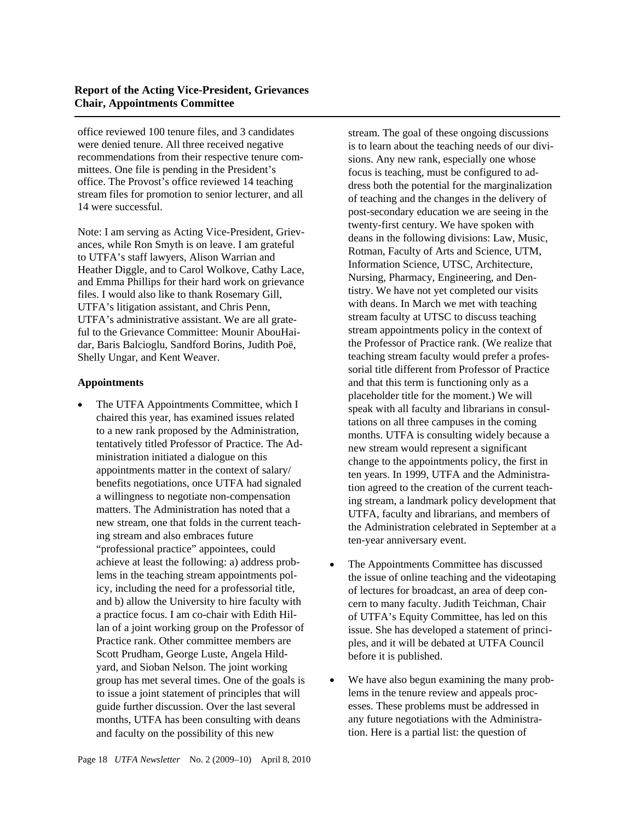## **Report of the Acting Vice-President, Grievances Chair, Appointments Committee**

office reviewed 100 tenure files, and 3 candidates were denied tenure. All three received negative recommendations from their respective tenure committees. One file is pending in the President's office. The Provost's office reviewed 14 teaching stream files for promotion to senior lecturer, and all 14 were successful.

Note: I am serving as Acting Vice-President, Grievances, while Ron Smyth is on leave. I am grateful to UTFA's staff lawyers, Alison Warrian and Heather Diggle, and to Carol Wolkove, Cathy Lace, and Emma Phillips for their hard work on grievance files. I would also like to thank Rosemary Gill, UTFA's litigation assistant, and Chris Penn, UTFA's administrative assistant. We are all grateful to the Grievance Committee: Mounir AbouHaidar, Baris Balcioglu, Sandford Borins, Judith Poë, Shelly Ungar, and Kent Weaver.

## **Appointments**

 The UTFA Appointments Committee, which I chaired this year, has examined issues related to a new rank proposed by the Administration, tentatively titled Professor of Practice. The Administration initiated a dialogue on this appointments matter in the context of salary/ benefits negotiations, once UTFA had signaled a willingness to negotiate non-compensation matters. The Administration has noted that a new stream, one that folds in the current teaching stream and also embraces future "professional practice" appointees, could achieve at least the following: a) address problems in the teaching stream appointments policy, including the need for a professorial title, and b) allow the University to hire faculty with a practice focus. I am co-chair with Edith Hillan of a joint working group on the Professor of Practice rank. Other committee members are Scott Prudham, George Luste, Angela Hildyard, and Sioban Nelson. The joint working group has met several times. One of the goals is to issue a joint statement of principles that will guide further discussion. Over the last several months, UTFA has been consulting with deans and faculty on the possibility of this new

stream. The goal of these ongoing discussions is to learn about the teaching needs of our divisions. Any new rank, especially one whose focus is teaching, must be configured to address both the potential for the marginalization of teaching and the changes in the delivery of post-secondary education we are seeing in the twenty-first century. We have spoken with deans in the following divisions: Law, Music, Rotman, Faculty of Arts and Science, UTM, Information Science, UTSC, Architecture, Nursing, Pharmacy, Engineering, and Dentistry. We have not yet completed our visits with deans. In March we met with teaching stream faculty at UTSC to discuss teaching stream appointments policy in the context of the Professor of Practice rank. (We realize that teaching stream faculty would prefer a professorial title different from Professor of Practice and that this term is functioning only as a placeholder title for the moment.) We will speak with all faculty and librarians in consultations on all three campuses in the coming months. UTFA is consulting widely because a new stream would represent a significant change to the appointments policy, the first in ten years. In 1999, UTFA and the Administration agreed to the creation of the current teaching stream, a landmark policy development that UTFA, faculty and librarians, and members of the Administration celebrated in September at a ten-year anniversary event.

- The Appointments Committee has discussed the issue of online teaching and the videotaping of lectures for broadcast, an area of deep concern to many faculty. Judith Teichman, Chair of UTFA's Equity Committee, has led on this issue. She has developed a statement of principles, and it will be debated at UTFA Council before it is published.
- We have also begun examining the many problems in the tenure review and appeals processes. These problems must be addressed in any future negotiations with the Administration. Here is a partial list: the question of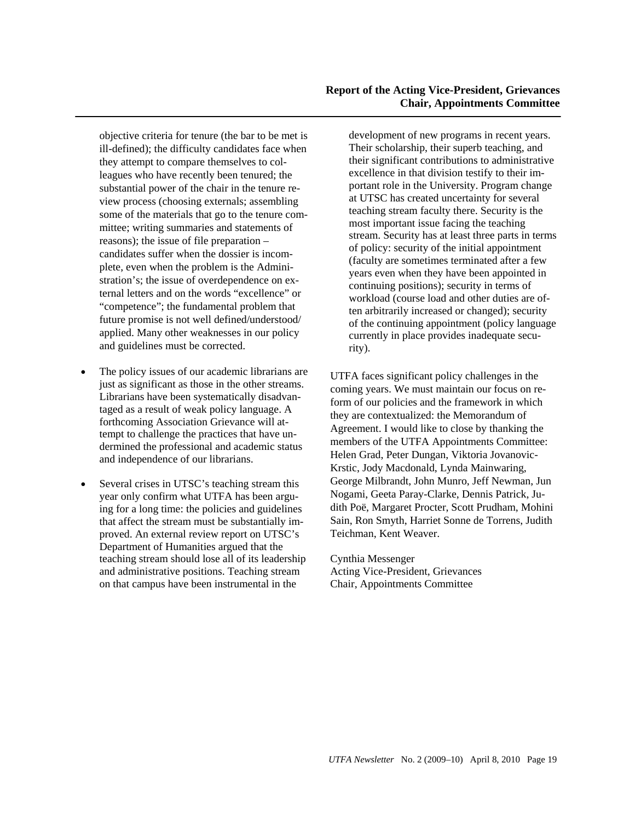## **Report of the Acting Vice-President, Grievances Chair, Appointments Committee**

objective criteria for tenure (the bar to be met is ill-defined); the difficulty candidates face when they attempt to compare themselves to colleagues who have recently been tenured; the substantial power of the chair in the tenure review process (choosing externals; assembling some of the materials that go to the tenure committee; writing summaries and statements of reasons); the issue of file preparation – candidates suffer when the dossier is incomplete, even when the problem is the Administration's; the issue of overdependence on external letters and on the words "excellence" or "competence"; the fundamental problem that future promise is not well defined/understood/ applied. Many other weaknesses in our policy and guidelines must be corrected.

- The policy issues of our academic librarians are just as significant as those in the other streams. Librarians have been systematically disadvantaged as a result of weak policy language. A forthcoming Association Grievance will attempt to challenge the practices that have undermined the professional and academic status and independence of our librarians.
- Several crises in UTSC's teaching stream this year only confirm what UTFA has been arguing for a long time: the policies and guidelines that affect the stream must be substantially improved. An external review report on UTSC's Department of Humanities argued that the teaching stream should lose all of its leadership and administrative positions. Teaching stream on that campus have been instrumental in the

development of new programs in recent years. Their scholarship, their superb teaching, and their significant contributions to administrative excellence in that division testify to their important role in the University. Program change at UTSC has created uncertainty for several teaching stream faculty there. Security is the most important issue facing the teaching stream. Security has at least three parts in terms of policy: security of the initial appointment (faculty are sometimes terminated after a few years even when they have been appointed in continuing positions); security in terms of workload (course load and other duties are often arbitrarily increased or changed); security of the continuing appointment (policy language currently in place provides inadequate security).

UTFA faces significant policy challenges in the coming years. We must maintain our focus on reform of our policies and the framework in which they are contextualized: the Memorandum of Agreement. I would like to close by thanking the members of the UTFA Appointments Committee: Helen Grad, Peter Dungan, Viktoria Jovanovic-Krstic, Jody Macdonald, Lynda Mainwaring, George Milbrandt, John Munro, Jeff Newman, Jun Nogami, Geeta Paray-Clarke, Dennis Patrick, Judith Poë, Margaret Procter, Scott Prudham, Mohini Sain, Ron Smyth, Harriet Sonne de Torrens, Judith Teichman, Kent Weaver.

Cynthia Messenger Acting Vice-President, Grievances Chair, Appointments Committee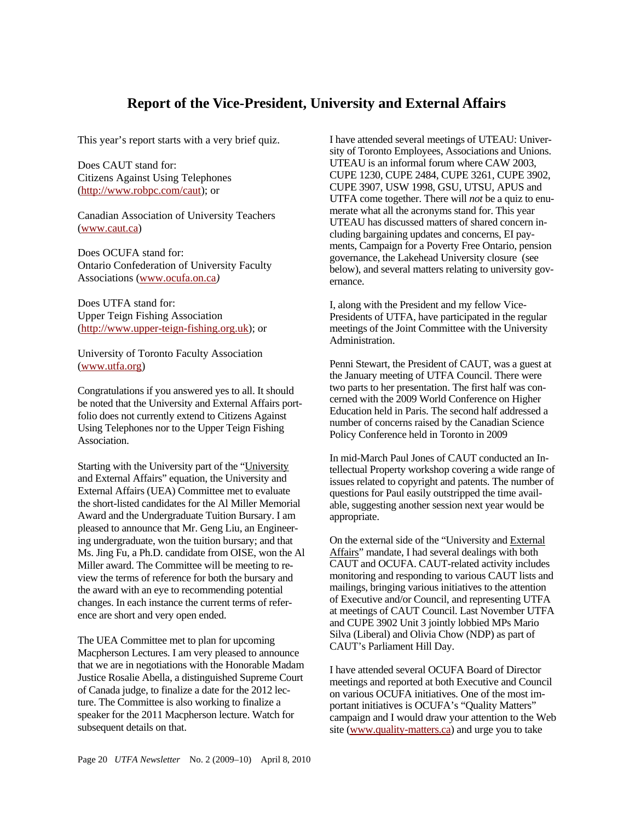# **Report of the Vice-President, University and External Affairs**

This year's report starts with a very brief quiz.

Does CAUT stand for: Citizens Against Using Telephones (http://www.robpc.com/caut); or

Canadian Association of University Teachers (www.caut.ca)

Does OCUFA stand for: Ontario Confederation of University Faculty Associations (www.ocufa.on.ca*)* 

Does UTFA stand for: Upper Teign Fishing Association (http://www.upper-teign-fishing.org.uk); or

University of Toronto Faculty Association (www.utfa.org)

Congratulations if you answered yes to all. It should be noted that the University and External Affairs portfolio does not currently extend to Citizens Against Using Telephones nor to the Upper Teign Fishing Association.

Starting with the University part of the "University and External Affairs" equation, the University and External Affairs (UEA) Committee met to evaluate the short-listed candidates for the Al Miller Memorial Award and the Undergraduate Tuition Bursary. I am pleased to announce that Mr. Geng Liu, an Engineering undergraduate, won the tuition bursary; and that Ms. Jing Fu, a Ph.D. candidate from OISE, won the Al Miller award. The Committee will be meeting to review the terms of reference for both the bursary and the award with an eye to recommending potential changes. In each instance the current terms of reference are short and very open ended.

The UEA Committee met to plan for upcoming Macpherson Lectures. I am very pleased to announce that we are in negotiations with the Honorable Madam Justice Rosalie Abella, a distinguished Supreme Court of Canada judge, to finalize a date for the 2012 lecture. The Committee is also working to finalize a speaker for the 2011 Macpherson lecture. Watch for subsequent details on that.

I have attended several meetings of UTEAU: University of Toronto Employees, Associations and Unions. UTEAU is an informal forum where CAW 2003, CUPE 1230, CUPE 2484, CUPE 3261, CUPE 3902, CUPE 3907, USW 1998, GSU, UTSU, APUS and UTFA come together. There will *not* be a quiz to enumerate what all the acronyms stand for. This year UTEAU has discussed matters of shared concern including bargaining updates and concerns, EI payments, Campaign for a Poverty Free Ontario, pension governance, the Lakehead University closure (see below), and several matters relating to university governance.

I, along with the President and my fellow Vice-Presidents of UTFA, have participated in the regular meetings of the Joint Committee with the University Administration.

Penni Stewart, the President of CAUT, was a guest at the January meeting of UTFA Council. There were two parts to her presentation. The first half was concerned with the 2009 World Conference on Higher Education held in Paris. The second half addressed a number of concerns raised by the Canadian Science Policy Conference held in Toronto in 2009

In mid-March Paul Jones of CAUT conducted an Intellectual Property workshop covering a wide range of issues related to copyright and patents. The number of questions for Paul easily outstripped the time available, suggesting another session next year would be appropriate.

On the external side of the "University and External Affairs" mandate, I had several dealings with both CAUT and OCUFA. CAUT-related activity includes monitoring and responding to various CAUT lists and mailings, bringing various initiatives to the attention of Executive and/or Council, and representing UTFA at meetings of CAUT Council. Last November UTFA and CUPE 3902 Unit 3 jointly lobbied MPs Mario Silva (Liberal) and Olivia Chow (NDP) as part of CAUT's Parliament Hill Day.

I have attended several OCUFA Board of Director meetings and reported at both Executive and Council on various OCUFA initiatives. One of the most important initiatives is OCUFA's "Quality Matters" campaign and I would draw your attention to the Web site (www.quality-matters.ca) and urge you to take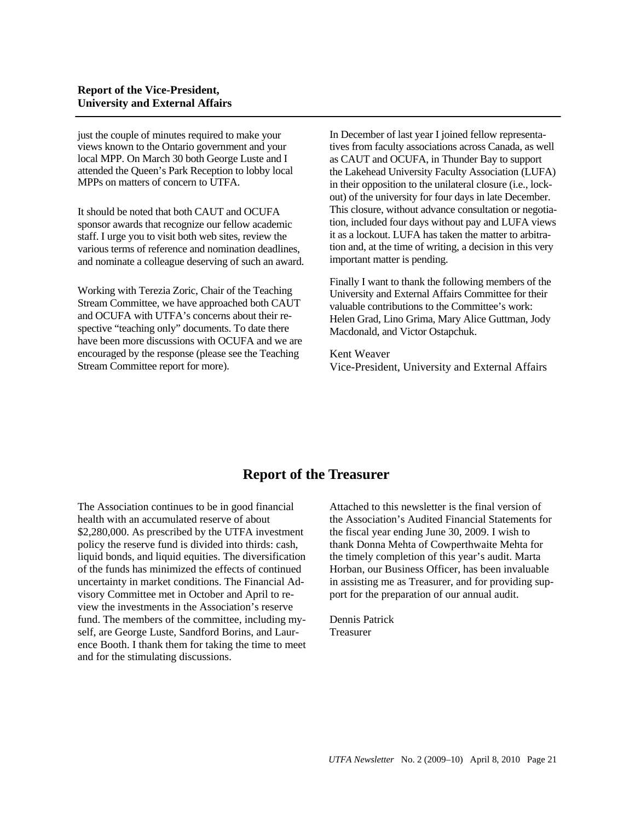just the couple of minutes required to make your views known to the Ontario government and your local MPP. On March 30 both George Luste and I attended the Queen's Park Reception to lobby local MPPs on matters of concern to UTFA.

It should be noted that both CAUT and OCUFA sponsor awards that recognize our fellow academic staff. I urge you to visit both web sites, review the various terms of reference and nomination deadlines, and nominate a colleague deserving of such an award.

Working with Terezia Zoric, Chair of the Teaching Stream Committee, we have approached both CAUT and OCUFA with UTFA's concerns about their respective "teaching only" documents. To date there have been more discussions with OCUFA and we are encouraged by the response (please see the Teaching Stream Committee report for more).

In December of last year I joined fellow representatives from faculty associations across Canada, as well as CAUT and OCUFA, in Thunder Bay to support the Lakehead University Faculty Association (LUFA) in their opposition to the unilateral closure (i.e., lockout) of the university for four days in late December. This closure, without advance consultation or negotiation, included four days without pay and LUFA views it as a lockout. LUFA has taken the matter to arbitration and, at the time of writing, a decision in this very important matter is pending.

Finally I want to thank the following members of the University and External Affairs Committee for their valuable contributions to the Committee's work: Helen Grad, Lino Grima, Mary Alice Guttman, Jody Macdonald, and Victor Ostapchuk.

Kent Weaver Vice-President, University and External Affairs

# **Report of the Treasurer**

The Association continues to be in good financial health with an accumulated reserve of about \$2,280,000. As prescribed by the UTFA investment policy the reserve fund is divided into thirds: cash, liquid bonds, and liquid equities. The diversification of the funds has minimized the effects of continued uncertainty in market conditions. The Financial Advisory Committee met in October and April to review the investments in the Association's reserve fund. The members of the committee, including myself, are George Luste, Sandford Borins, and Laurence Booth. I thank them for taking the time to meet and for the stimulating discussions.

Attached to this newsletter is the final version of the Association's Audited Financial Statements for the fiscal year ending June 30, 2009. I wish to thank Donna Mehta of Cowperthwaite Mehta for the timely completion of this year's audit. Marta Horban, our Business Officer, has been invaluable in assisting me as Treasurer, and for providing support for the preparation of our annual audit.

Dennis Patrick Treasurer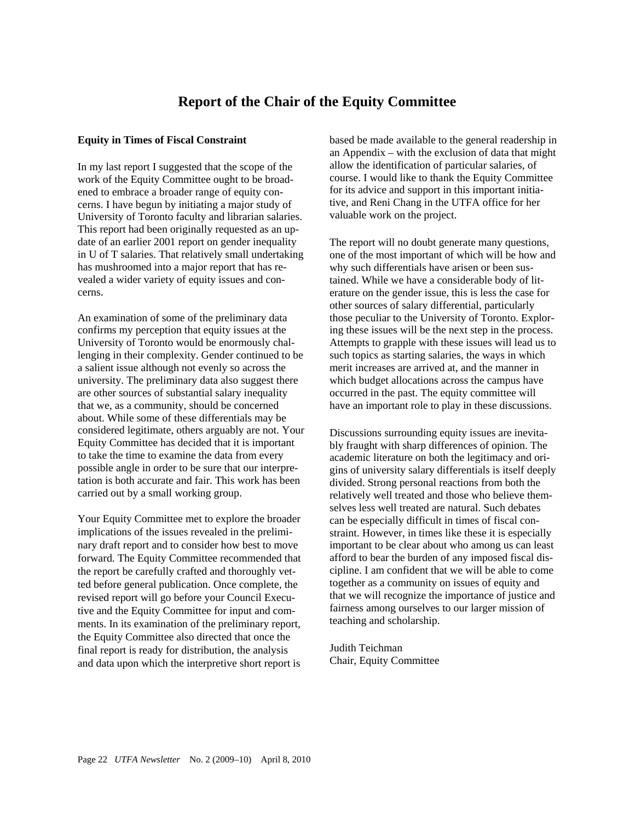# **Report of the Chair of the Equity Committee**

## **Equity in Times of Fiscal Constraint**

In my last report I suggested that the scope of the work of the Equity Committee ought to be broadened to embrace a broader range of equity concerns. I have begun by initiating a major study of University of Toronto faculty and librarian salaries. This report had been originally requested as an update of an earlier 2001 report on gender inequality in U of T salaries. That relatively small undertaking has mushroomed into a major report that has revealed a wider variety of equity issues and concerns.

An examination of some of the preliminary data confirms my perception that equity issues at the University of Toronto would be enormously challenging in their complexity. Gender continued to be a salient issue although not evenly so across the university. The preliminary data also suggest there are other sources of substantial salary inequality that we, as a community, should be concerned about. While some of these differentials may be considered legitimate, others arguably are not. Your Equity Committee has decided that it is important to take the time to examine the data from every possible angle in order to be sure that our interpretation is both accurate and fair. This work has been carried out by a small working group.

Your Equity Committee met to explore the broader implications of the issues revealed in the preliminary draft report and to consider how best to move forward. The Equity Committee recommended that the report be carefully crafted and thoroughly vetted before general publication. Once complete, the revised report will go before your Council Executive and the Equity Committee for input and comments. In its examination of the preliminary report, the Equity Committee also directed that once the final report is ready for distribution, the analysis and data upon which the interpretive short report is based be made available to the general readership in an Appendix – with the exclusion of data that might allow the identification of particular salaries, of course. I would like to thank the Equity Committee for its advice and support in this important initiative, and Reni Chang in the UTFA office for her valuable work on the project.

The report will no doubt generate many questions, one of the most important of which will be how and why such differentials have arisen or been sustained. While we have a considerable body of literature on the gender issue, this is less the case for other sources of salary differential, particularly those peculiar to the University of Toronto. Exploring these issues will be the next step in the process. Attempts to grapple with these issues will lead us to such topics as starting salaries, the ways in which merit increases are arrived at, and the manner in which budget allocations across the campus have occurred in the past. The equity committee will have an important role to play in these discussions.

Discussions surrounding equity issues are inevitably fraught with sharp differences of opinion. The academic literature on both the legitimacy and origins of university salary differentials is itself deeply divided. Strong personal reactions from both the relatively well treated and those who believe themselves less well treated are natural. Such debates can be especially difficult in times of fiscal constraint. However, in times like these it is especially important to be clear about who among us can least afford to bear the burden of any imposed fiscal discipline. I am confident that we will be able to come together as a community on issues of equity and that we will recognize the importance of justice and fairness among ourselves to our larger mission of teaching and scholarship.

Judith Teichman Chair, Equity Committee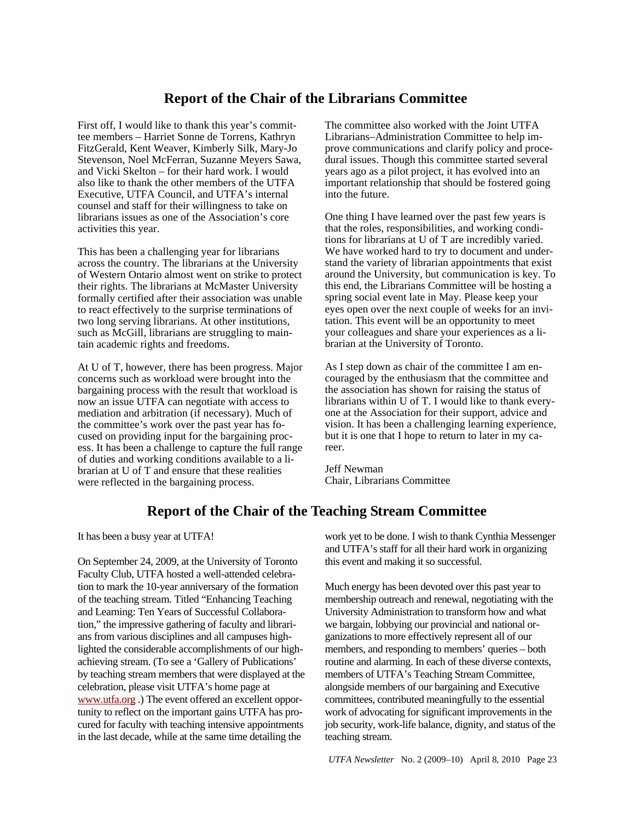# **Report of the Chair of the Librarians Committee**

First off, I would like to thank this year's committee members – Harriet Sonne de Torrens, Kathryn FitzGerald, Kent Weaver, Kimberly Silk, Mary-Jo Stevenson, Noel McFerran, Suzanne Meyers Sawa, and Vicki Skelton – for their hard work. I would also like to thank the other members of the UTFA Executive, UTFA Council, and UTFA's internal counsel and staff for their willingness to take on librarians issues as one of the Association's core activities this year.

This has been a challenging year for librarians across the country. The librarians at the University of Western Ontario almost went on strike to protect their rights. The librarians at McMaster University formally certified after their association was unable to react effectively to the surprise terminations of two long serving librarians. At other institutions, such as McGill, librarians are struggling to maintain academic rights and freedoms.

At U of T, however, there has been progress. Major concerns such as workload were brought into the bargaining process with the result that workload is now an issue UTFA can negotiate with access to mediation and arbitration (if necessary). Much of the committee's work over the past year has focused on providing input for the bargaining process. It has been a challenge to capture the full range of duties and working conditions available to a librarian at U of T and ensure that these realities were reflected in the bargaining process.

The committee also worked with the Joint UTFA Librarians–Administration Committee to help improve communications and clarify policy and procedural issues. Though this committee started several years ago as a pilot project, it has evolved into an important relationship that should be fostered going into the future.

One thing I have learned over the past few years is that the roles, responsibilities, and working conditions for librarians at U of T are incredibly varied. We have worked hard to try to document and understand the variety of librarian appointments that exist around the University, but communication is key. To this end, the Librarians Committee will be hosting a spring social event late in May. Please keep your eyes open over the next couple of weeks for an invitation. This event will be an opportunity to meet your colleagues and share your experiences as a librarian at the University of Toronto.

As I step down as chair of the committee I am encouraged by the enthusiasm that the committee and the association has shown for raising the status of librarians within U of T. I would like to thank everyone at the Association for their support, advice and vision. It has been a challenging learning experience, but it is one that I hope to return to later in my career.

Jeff Newman Chair, Librarians Committee

# **Report of the Chair of the Teaching Stream Committee**

It has been a busy year at UTFA!

On September 24, 2009, at the University of Toronto Faculty Club, UTFA hosted a well-attended celebration to mark the 10-year anniversary of the formation of the teaching stream. Titled "Enhancing Teaching and Learning: Ten Years of Successful Collaboration," the impressive gathering of faculty and librarians from various disciplines and all campuses highlighted the considerable accomplishments of our highachieving stream. (To see a 'Gallery of Publications' by teaching stream members that were displayed at the celebration, please visit UTFA's home page at www.utfa.org .) The event offered an excellent opportunity to reflect on the important gains UTFA has procured for faculty with teaching intensive appointments in the last decade, while at the same time detailing the

work yet to be done. I wish to thank Cynthia Messenger and UTFA's staff for all their hard work in organizing this event and making it so successful.

Much energy has been devoted over this past year to membership outreach and renewal, negotiating with the University Administration to transform how and what we bargain, lobbying our provincial and national organizations to more effectively represent all of our members, and responding to members' queries – both routine and alarming. In each of these diverse contexts, members of UTFA's Teaching Stream Committee, alongside members of our bargaining and Executive committees, contributed meaningfully to the essential work of advocating for significant improvements in the job security, work-life balance, dignity, and status of the teaching stream.

*UTFA Newsletter* No. 2 (2009–10) April 8, 2010 Page 23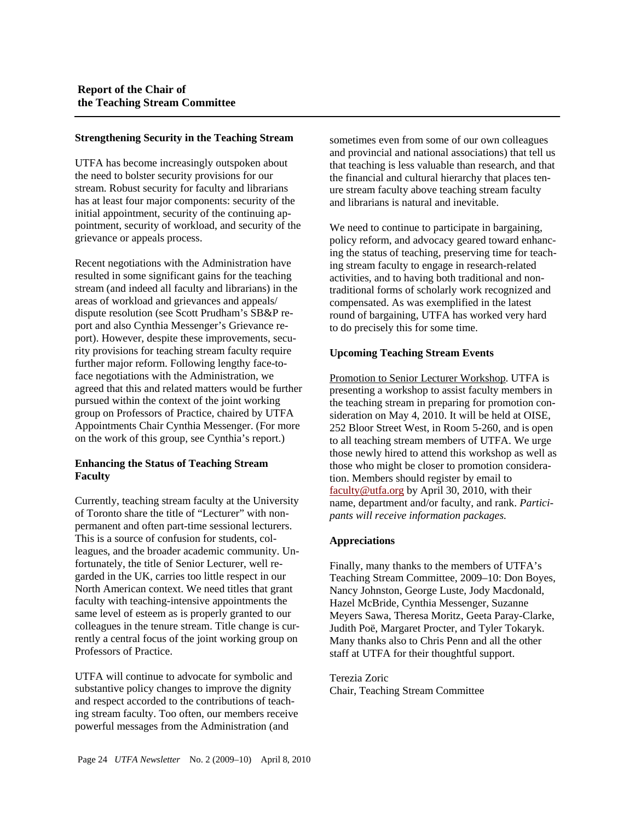#### **Strengthening Security in the Teaching Stream**

UTFA has become increasingly outspoken about the need to bolster security provisions for our stream. Robust security for faculty and librarians has at least four major components: security of the initial appointment, security of the continuing appointment, security of workload, and security of the grievance or appeals process.

Recent negotiations with the Administration have resulted in some significant gains for the teaching stream (and indeed all faculty and librarians) in the areas of workload and grievances and appeals/ dispute resolution (see Scott Prudham's SB&P report and also Cynthia Messenger's Grievance report). However, despite these improvements, security provisions for teaching stream faculty require further major reform. Following lengthy face-toface negotiations with the Administration, we agreed that this and related matters would be further pursued within the context of the joint working group on Professors of Practice, chaired by UTFA Appointments Chair Cynthia Messenger. (For more on the work of this group, see Cynthia's report.)

## **Enhancing the Status of Teaching Stream Faculty**

Currently, teaching stream faculty at the University of Toronto share the title of "Lecturer" with nonpermanent and often part-time sessional lecturers. This is a source of confusion for students, colleagues, and the broader academic community. Unfortunately, the title of Senior Lecturer, well regarded in the UK, carries too little respect in our North American context. We need titles that grant faculty with teaching-intensive appointments the same level of esteem as is properly granted to our colleagues in the tenure stream. Title change is currently a central focus of the joint working group on Professors of Practice.

UTFA will continue to advocate for symbolic and substantive policy changes to improve the dignity and respect accorded to the contributions of teaching stream faculty. Too often, our members receive powerful messages from the Administration (and

sometimes even from some of our own colleagues and provincial and national associations) that tell us that teaching is less valuable than research, and that the financial and cultural hierarchy that places tenure stream faculty above teaching stream faculty and librarians is natural and inevitable.

We need to continue to participate in bargaining, policy reform, and advocacy geared toward enhancing the status of teaching, preserving time for teaching stream faculty to engage in research-related activities, and to having both traditional and nontraditional forms of scholarly work recognized and compensated. As was exemplified in the latest round of bargaining, UTFA has worked very hard to do precisely this for some time.

## **Upcoming Teaching Stream Events**

Promotion to Senior Lecturer Workshop. UTFA is presenting a workshop to assist faculty members in the teaching stream in preparing for promotion consideration on May 4, 2010. It will be held at OISE, 252 Bloor Street West, in Room 5-260, and is open to all teaching stream members of UTFA. We urge those newly hired to attend this workshop as well as those who might be closer to promotion consideration. Members should register by email to faculty@utfa.org by April 30, 2010, with their name, department and/or faculty, and rank. *Participants will receive information packages.*

## **Appreciations**

Finally, many thanks to the members of UTFA's Teaching Stream Committee, 2009–10: Don Boyes, Nancy Johnston, George Luste, Jody Macdonald, Hazel McBride, Cynthia Messenger, Suzanne Meyers Sawa, Theresa Moritz, Geeta Paray-Clarke, Judith Poë, Margaret Procter, and Tyler Tokaryk. Many thanks also to Chris Penn and all the other staff at UTFA for their thoughtful support.

Terezia Zoric Chair, Teaching Stream Committee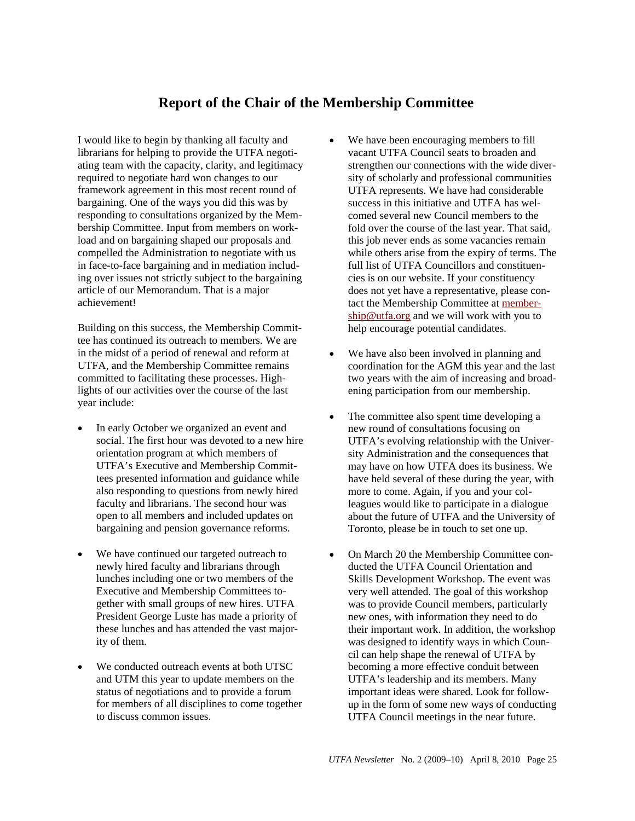# **Report of the Chair of the Membership Committee**

I would like to begin by thanking all faculty and librarians for helping to provide the UTFA negotiating team with the capacity, clarity, and legitimacy required to negotiate hard won changes to our framework agreement in this most recent round of bargaining. One of the ways you did this was by responding to consultations organized by the Membership Committee. Input from members on workload and on bargaining shaped our proposals and compelled the Administration to negotiate with us in face-to-face bargaining and in mediation including over issues not strictly subject to the bargaining article of our Memorandum. That is a major achievement!

Building on this success, the Membership Committee has continued its outreach to members. We are in the midst of a period of renewal and reform at UTFA, and the Membership Committee remains committed to facilitating these processes. Highlights of our activities over the course of the last year include:

- In early October we organized an event and social. The first hour was devoted to a new hire orientation program at which members of UTFA's Executive and Membership Committees presented information and guidance while also responding to questions from newly hired faculty and librarians. The second hour was open to all members and included updates on bargaining and pension governance reforms.
- We have continued our targeted outreach to newly hired faculty and librarians through lunches including one or two members of the Executive and Membership Committees together with small groups of new hires. UTFA President George Luste has made a priority of these lunches and has attended the vast majority of them.
- We conducted outreach events at both UTSC and UTM this year to update members on the status of negotiations and to provide a forum for members of all disciplines to come together to discuss common issues.
- We have been encouraging members to fill vacant UTFA Council seats to broaden and strengthen our connections with the wide diversity of scholarly and professional communities UTFA represents. We have had considerable success in this initiative and UTFA has welcomed several new Council members to the fold over the course of the last year. That said, this job never ends as some vacancies remain while others arise from the expiry of terms. The full list of UTFA Councillors and constituencies is on our website. If your constituency does not yet have a representative, please contact the Membership Committee at membership@utfa.org and we will work with you to help encourage potential candidates.
- We have also been involved in planning and coordination for the AGM this year and the last two years with the aim of increasing and broadening participation from our membership.
- The committee also spent time developing a new round of consultations focusing on UTFA's evolving relationship with the University Administration and the consequences that may have on how UTFA does its business. We have held several of these during the year, with more to come. Again, if you and your colleagues would like to participate in a dialogue about the future of UTFA and the University of Toronto, please be in touch to set one up.
- On March 20 the Membership Committee conducted the UTFA Council Orientation and Skills Development Workshop. The event was very well attended. The goal of this workshop was to provide Council members, particularly new ones, with information they need to do their important work. In addition, the workshop was designed to identify ways in which Council can help shape the renewal of UTFA by becoming a more effective conduit between UTFA's leadership and its members. Many important ideas were shared. Look for followup in the form of some new ways of conducting UTFA Council meetings in the near future.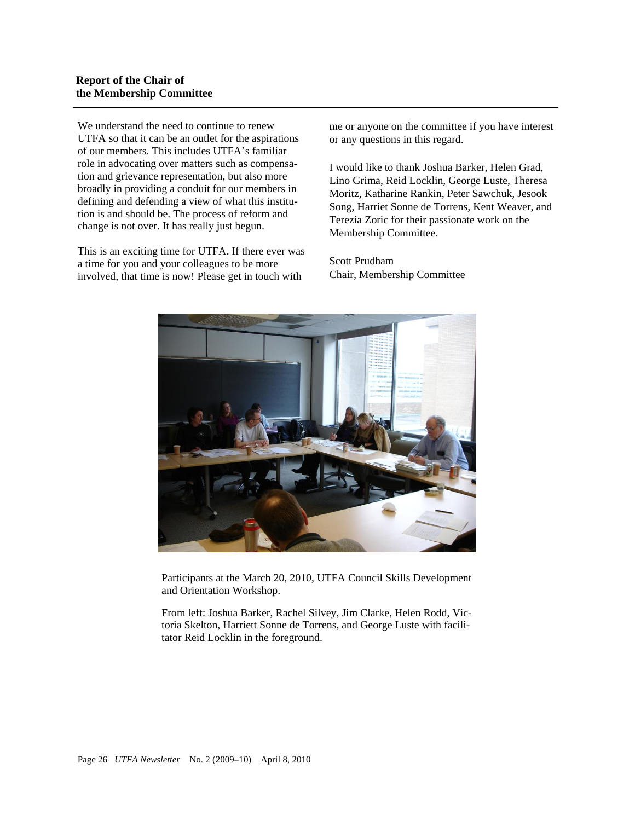## **Report of the Chair of the Membership Committee**

We understand the need to continue to renew UTFA so that it can be an outlet for the aspirations of our members. This includes UTFA's familiar role in advocating over matters such as compensation and grievance representation, but also more broadly in providing a conduit for our members in defining and defending a view of what this institution is and should be. The process of reform and change is not over. It has really just begun.

This is an exciting time for UTFA. If there ever was a time for you and your colleagues to be more involved, that time is now! Please get in touch with

me or anyone on the committee if you have interest or any questions in this regard.

I would like to thank Joshua Barker, Helen Grad, Lino Grima, Reid Locklin, George Luste, Theresa Moritz, Katharine Rankin, Peter Sawchuk, Jesook Song, Harriet Sonne de Torrens, Kent Weaver, and Terezia Zoric for their passionate work on the Membership Committee.

Scott Prudham Chair, Membership Committee



Participants at the March 20, 2010, UTFA Council Skills Development and Orientation Workshop.

From left: Joshua Barker, Rachel Silvey, Jim Clarke, Helen Rodd, Victoria Skelton, Harriett Sonne de Torrens, and George Luste with facilitator Reid Locklin in the foreground.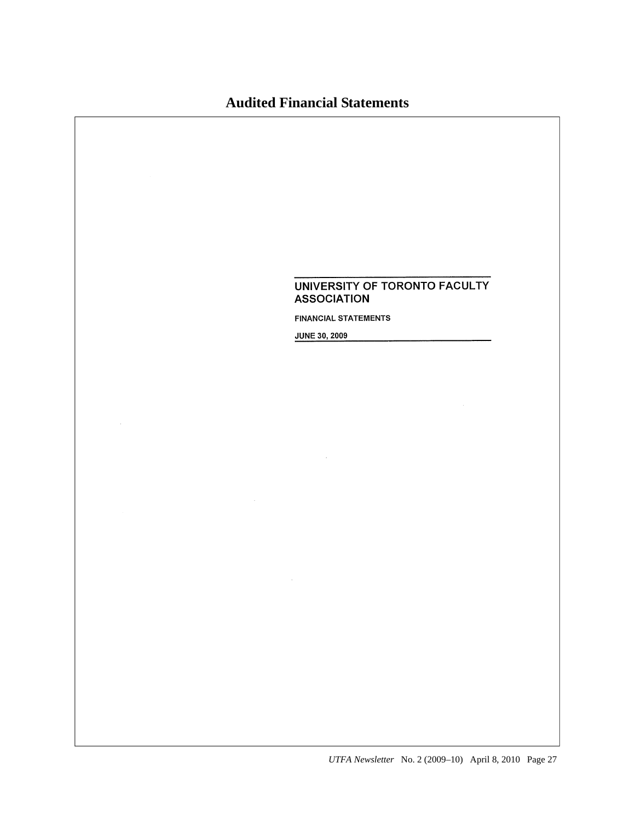# **Audited Financial Statements**

## UNIVERSITY OF TORONTO FACULTY **ASSOCIATION**

**FINANCIAL STATEMENTS** 

JUNE 30, 2009

 $\mathcal{A}$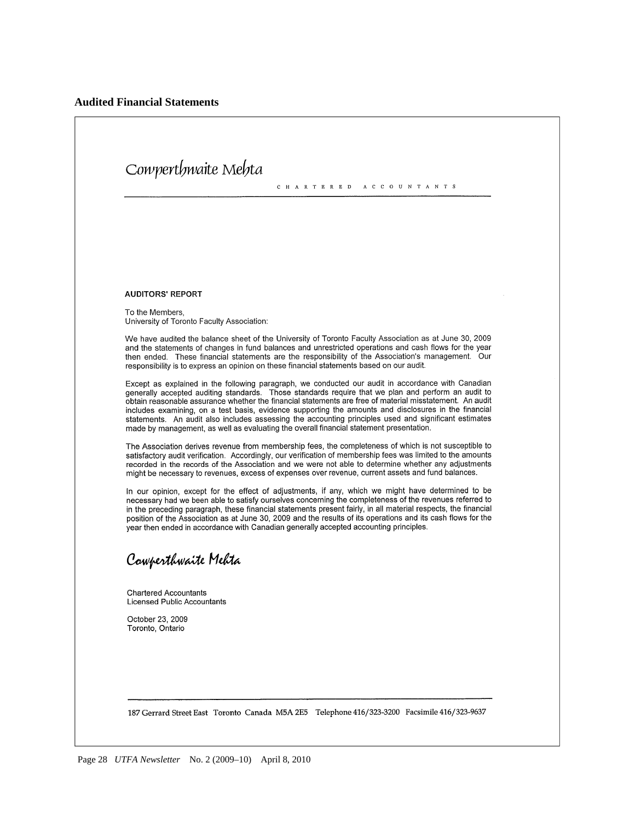# Cowperthwaite Mehta C H A R T E R E D A C C O U N T A N T S **AUDITORS' REPORT** To the Members, University of Toronto Faculty Association: We have audited the balance sheet of the University of Toronto Faculty Association as at June 30, 2009 and the statements of changes in fund balances and unrestricted operations and cash flows for the year then ended. These financial statements are the responsibility of the Association's management. Our responsibility is to express an opinion on these financial statements based on our audit. Except as explained in the following paragraph, we conducted our audit in accordance with Canadian generally accepted auditing standards. Those standards require that we plan and perform an audit to obtain reasonable assurance whether the financial statements are free of material misstatement. An audit includes examining, on a test basis, evidence supporting the amounts and disclosures in the financial statements. An audit also includes assessing the accounting principles used and significant estimates made by management, as well as evaluating the overall financial statement presentation. The Association derives revenue from membership fees, the completeness of which is not susceptible to satisfactory audit verification. Accordingly, our verification of membership fees was limited to the amounts recorded in the records of the Association and we were not able to determine whether any adjustments might be necessary to revenues, excess of expenses over revenue, current assets and fund balances. In our opinion, except for the effect of adjustments, if any, which we might have determined to be necessary had we been able to satisfy ourselves concerning the completeness of the revenues referred to in the preceding paragraph, these financial statements present fairly, in all material respects, the financial position of the Association as at June 30, 2009 and the results of its operations and its cash flows for the year then ended in accordance with Canadian generally accepted accounting principles. Cowperthwaite Mehta **Chartered Accountants Licensed Public Accountants** October 23, 2009 Toronto, Ontario 187 Gerrard Street East Toronto Canada M5A 2E5 Telephone 416/323-3200 Facsimile 416/323-9637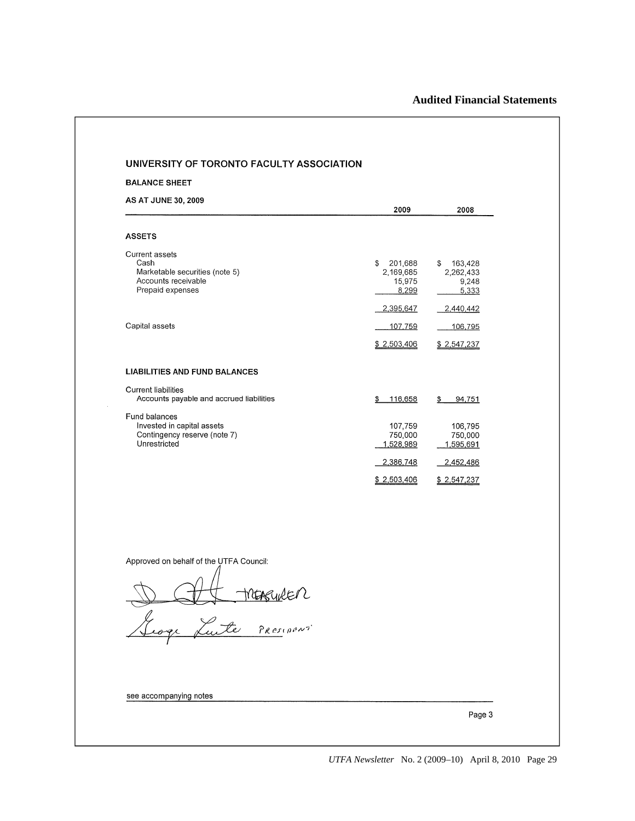| <b>BALANCE SHEET</b>                        |                            |                         |
|---------------------------------------------|----------------------------|-------------------------|
| <b>AS AT JUNE 30, 2009</b>                  |                            |                         |
|                                             | 2009                       | 2008                    |
| <b>ASSETS</b>                               |                            |                         |
| Current assets                              |                            |                         |
| Cash<br>Marketable securities (note 5)      | 201,688<br>\$<br>2,169,685 | \$ 163,428<br>2,262,433 |
| Accounts receivable<br>Prepaid expenses     | 15,975<br>8,299            | 9,248                   |
|                                             |                            | 5,333                   |
|                                             | 2,395,647                  | 2,440,442               |
| Capital assets                              | 107,759                    | 106,795                 |
|                                             | \$2,503,406                | \$2,547,237             |
| <b>LIABILITIES AND FUND BALANCES</b>        |                            |                         |
| Current liabilities                         |                            |                         |
| Accounts payable and accrued liabilities    | \$116,658                  | 94,751<br>\$            |
| Fund balances<br>Invested in capital assets |                            |                         |
| Contingency reserve (note 7)                | 107,759<br>750,000         | 106,795<br>750,000      |
| Unrestricted                                | 1,528,989                  | 1,595,691               |
|                                             | 2,386,748                  | 2,452,486               |
|                                             | \$2,503,406                | \$2,547,237             |
|                                             |                            |                         |
|                                             |                            |                         |
| Approved on behalf of the UTFA Council:     |                            |                         |
|                                             |                            |                         |
|                                             |                            |                         |
|                                             |                            |                         |
| DAH MERGURER                                |                            |                         |
|                                             |                            |                         |
|                                             |                            |                         |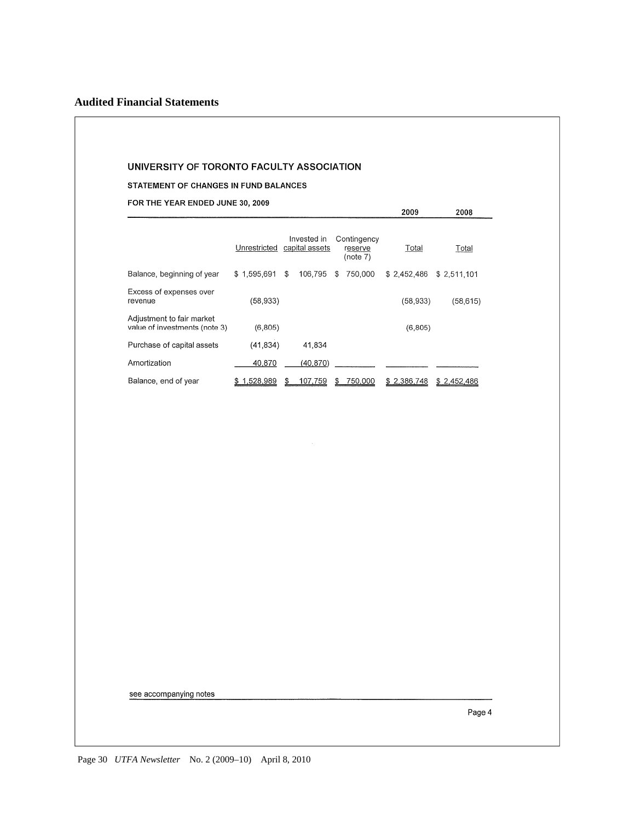STATEMENT OF CHANGES IN FUND BALANCES

FOR THE YEAR ENDED JUNE 30, 2009

|                                                            | Unrestricted    | Invested in<br>capital assets | Contingency<br>reserve<br>(note 7) | Total           | Total       |
|------------------------------------------------------------|-----------------|-------------------------------|------------------------------------|-----------------|-------------|
| Balance, beginning of year                                 | \$1.595.691     | 106,795<br>\$                 | 750.000<br>S                       | \$2.452.486     | \$2,511,101 |
| Excess of expenses over<br>revenue                         | (58,933)        |                               |                                    | (58, 933)       | (58, 615)   |
| Adjustment to fair market<br>value of investments (note 3) | (6, 805)        |                               |                                    | (6, 805)        |             |
| Purchase of capital assets                                 | (41, 834)       | 41.834                        |                                    |                 |             |
| Amortization                                               | 40,870          | (40, 870)                     |                                    |                 |             |
| Balance, end of year                                       | 1.528,989<br>\$ | 107.759<br>\$                 | 750.000<br>S                       | 2,386,748<br>\$ | \$2,452,486 |

2009

2008

see accompanying notes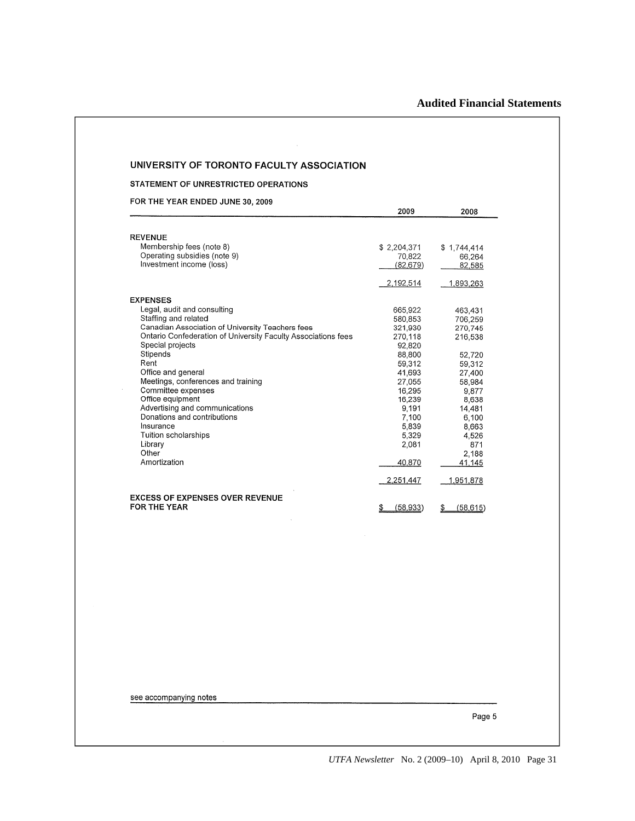## UNIVERSITY OF TORONTO FACULTY ASSOCIATION

#### STATEMENT OF UNRESTRICTED OPERATIONS

FOR THE YEAR ENDED JUNE 30, 2009

|                                                               | 2009        | 2008            |
|---------------------------------------------------------------|-------------|-----------------|
|                                                               |             |                 |
| <b>REVENUE</b>                                                |             |                 |
| Membership fees (note 8)                                      | \$2,204,371 | \$1,744,414     |
| Operating subsidies (note 9)                                  | 70,822      | 66.264          |
| Investment income (loss)                                      | (82, 679)   | 82,585          |
|                                                               | 2,192,514   | 1,893,263       |
| <b>EXPENSES</b>                                               |             |                 |
| Legal, audit and consulting                                   | 665,922     | 463,431         |
| Staffing and related                                          | 580,853     | 706,259         |
| Canadian Association of University Teachers fees              | 321,930     | 270,745         |
| Ontario Confederation of University Faculty Associations fees | 270,118     | 216,538         |
| Special projects                                              | 92,820      |                 |
| Stipends                                                      | 88,800      | 52,720          |
| Rent                                                          | 59,312      | 59,312          |
| Office and general                                            | 41,693      | 27,400          |
| Meetings, conferences and training                            | 27,055      | 58,984          |
| Committee expenses                                            | 16.295      | 9,877           |
| Office equipment                                              | 16,239      | 8,638           |
| Advertising and communications                                | 9,191       | 14,481          |
| Donations and contributions                                   | 7,100       | 6,100           |
| Insurance                                                     | 5,839       | 8,663           |
| Tuition scholarships                                          | 5,329       | 4,526           |
| Library                                                       | 2,081       | 871             |
| Other                                                         |             | 2,188           |
| Amortization                                                  | 40,870      | 41.145          |
|                                                               | 2,251,447   | 1,951,878       |
| <b>EXCESS OF EXPENSES OVER REVENUE</b>                        |             |                 |
| <b>FOR THE YEAR</b>                                           | (58.933)    | (58, 615)<br>\$ |

see accompanying notes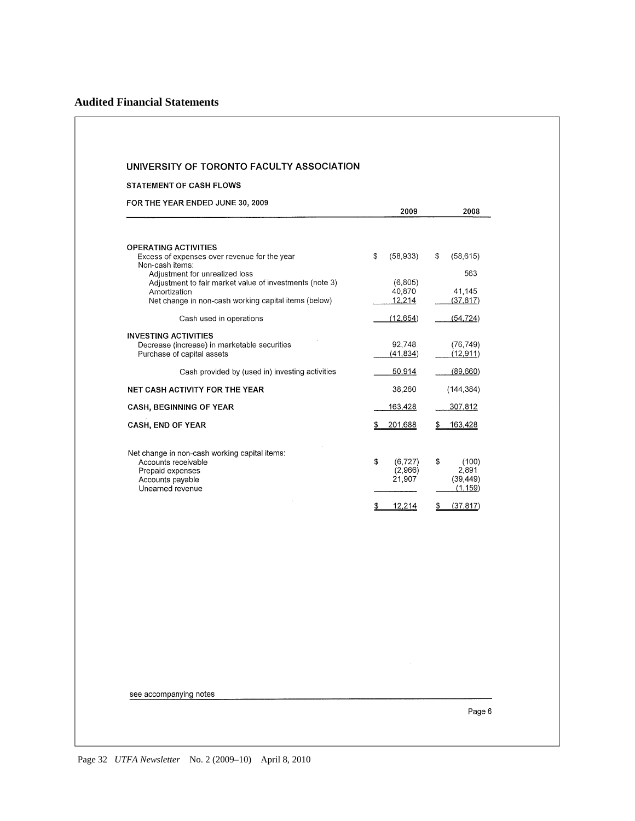#### **STATEMENT OF CASH FLOWS**

FOR THE YEAR ENDED JUNE 30, 2009

| 2009            | 2008                                   |
|-----------------|----------------------------------------|
|                 |                                        |
|                 |                                        |
| \$<br>(58, 933) | \$<br>(58, 615)                        |
|                 | 563                                    |
|                 |                                        |
|                 | 41,145                                 |
|                 | (37, 817)                              |
| (12, 654)       | (54, 724)                              |
|                 |                                        |
| 92,748          | (76, 749)                              |
| (41, 834)       | (12, 911)                              |
| 50,914          | (89,660)                               |
| 38,260          | (144, 384)                             |
| 163,428         | 307,812                                |
| 201,688         | 163,428                                |
|                 |                                        |
| \$<br>(6, 727)  | \$<br>(100)                            |
| (2,966)         | 2,891                                  |
| 21,907          | (39, 449)                              |
|                 | (1, 159)                               |
|                 | (37, 817)<br>S                         |
| \$              | (6, 805)<br>40,870<br>12,214<br>12,214 |

see accompanying notes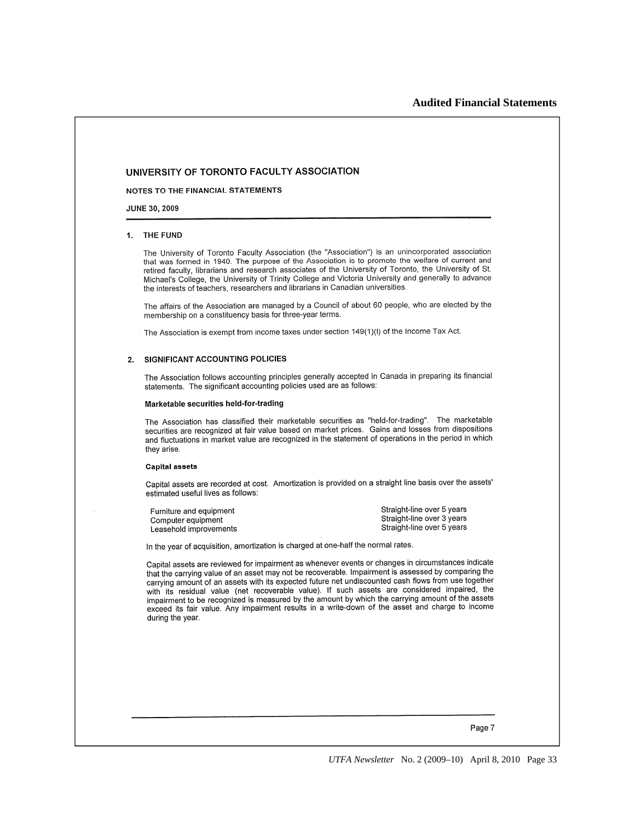NOTES TO THE FINANCIAL STATEMENTS

**JUNE 30, 2009** 

#### 1. THE FUND

The University of Toronto Faculty Association (the "Association") is an unincorporated association that was formed in 1940. The purpose of the Association is to promote the welfare of current and retired faculty, librarians and research associates of the University of Toronto, the University of St. Michael's College, the University of Trinity College and Victoria University and generally to advance the interests of teachers, researchers and librarians in Canadian universities.

The affairs of the Association are managed by a Council of about 60 people, who are elected by the membership on a constituency basis for three-year terms.

The Association is exempt from income taxes under section 149(1)(I) of the Income Tax Act.

#### 2. SIGNIFICANT ACCOUNTING POLICIES

The Association follows accounting principles generally accepted in Canada in preparing its financial statements. The significant accounting policies used are as follows:

#### Marketable securities held-for-trading

The Association has classified their marketable securities as "held-for-trading". The marketable securities are recognized at fair value based on market prices. Gains and losses from dispositions and fluctuations in market value are recognized in the statement of operations in the period in which they arise.

#### **Capital assets**

Capital assets are recorded at cost. Amortization is provided on a straight line basis over the assets' estimated useful lives as follows:

| Furniture and equipment | Straight-line over 5 years |
|-------------------------|----------------------------|
| Computer equipment      | Straight-line over 3 years |
| Leasehold improvements  | Straight-line over 5 years |

In the year of acquisition, amortization is charged at one-half the normal rates.

Capital assets are reviewed for impairment as whenever events or changes in circumstances indicate that the carrying value of an asset may not be recoverable. Impairment is assessed by comparing the carrying amount of an assets with its expected future net undiscounted cash flows from use together with its residual value (net recoverable value). If such assets are considered impaired, the impairment to be recognized is measured by the amount by which the carrying amount of the assets exceed its fair value. Any impairment results in a write-down of the asset and charge to income during the year.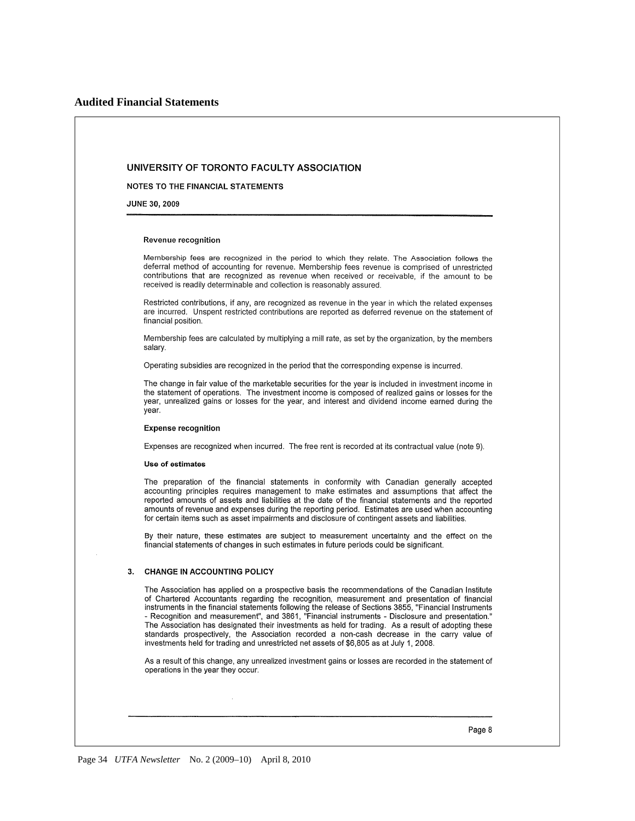NOTES TO THE FINANCIAL STATEMENTS

JUNE 30, 2009

#### Revenue recognition

Membership fees are recognized in the period to which they relate. The Association follows the deferral method of accounting for revenue. Membership fees revenue is comprised of unrestricted contributions that are recognized as revenue when received or receivable, if the amount to be received is readily determinable and collection is reasonably assured.

Restricted contributions, if any, are recognized as revenue in the year in which the related expenses are incurred. Unspent restricted contributions are reported as deferred revenue on the statement of financial position.

Membership fees are calculated by multiplying a mill rate, as set by the organization, by the members salarv.

Operating subsidies are recognized in the period that the corresponding expense is incurred.

The change in fair value of the marketable securities for the year is included in investment income in the statement of operations. The investment income is composed of realized gains or losses for the year, unrealized gains or losses for the year, and interest and dividend income earned during the vear.

#### **Expense recognition**

Expenses are recognized when incurred. The free rent is recorded at its contractual value (note 9).

#### Use of estimates

The preparation of the financial statements in conformity with Canadian generally accepted accounting principles requires management to make estimates and assumptions that affect the reported amounts of assets and liabilities at the date of the financial statements and the reported amounts of revenue and expenses during the reporting period. Estimates are used when accounting for certain items such as asset impairments and disclosure of contingent assets and liabilities.

By their nature, these estimates are subject to measurement uncertainty and the effect on the financial statements of changes in such estimates in future periods could be significant.

#### 3. CHANGE IN ACCOUNTING POLICY

The Association has applied on a prospective basis the recommendations of the Canadian Institute of Chartered Accountants regarding the recognition, measurement and presentation of financial instruments in the financial statements following the release of Sections 3855, "Financial Instruments - Recognition and measurement", and 3861, "Financial instruments - Disclosure and presentation." The Association has designated their investments as held for trading. As a result of adopting these standards prospectively, the Association recorded a non-cash decrease in the carry value of investments held for trading and unrestricted net assets of \$6,805 as at July 1, 2008.

As a result of this change, any unrealized investment gains or losses are recorded in the statement of operations in the year they occur.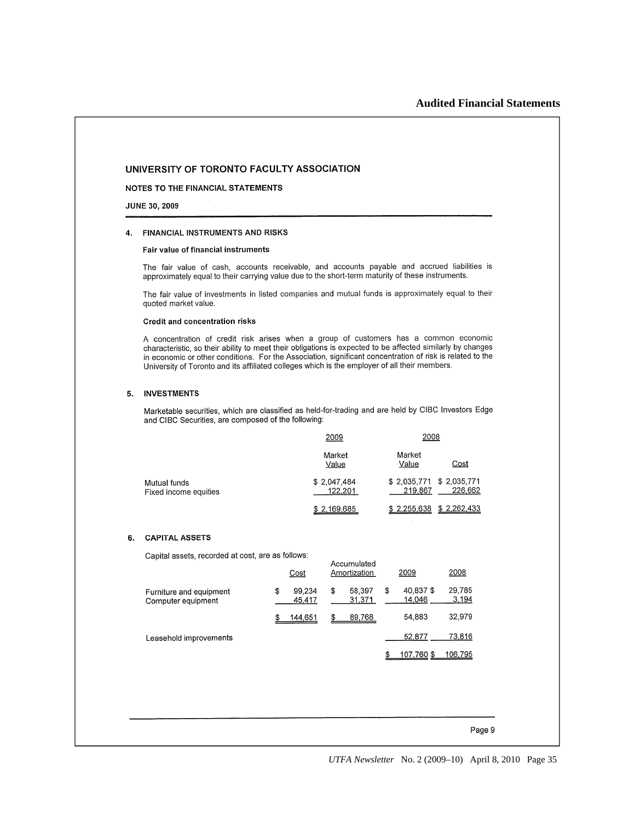#### NOTES TO THE FINANCIAL STATEMENTS

**JUNE 30, 2009** 

#### 4. FINANCIAL INSTRUMENTS AND RISKS

#### Fair value of financial instruments

The fair value of cash, accounts receivable, and accounts payable and accrued liabilities is approximately equal to their carrying value due to the short-term maturity of these instruments.

The fair value of investments in listed companies and mutual funds is approximately equal to their quoted market value.

#### **Credit and concentration risks**

A concentration of credit risk arises when a group of customers has a common economic characteristic, so their ability to meet their obligations is expected to be affected similarly by changes in economic or other conditions. For the Association, significant concentration of risk is related to the University of Toronto and its affiliated colleges which is the employer of all their members.

#### 5. INVESTMENTS

Marketable securities, which are classified as held-for-trading and are held by CIBC Investors Edge and CIBC Securities, are composed of the following:

|                                       | <u> 2009</u>           | 2008                                          |
|---------------------------------------|------------------------|-----------------------------------------------|
|                                       | Market<br>Value        | Market<br>Cost<br>Value                       |
| Mutual funds<br>Fixed income equities | \$2,047,484<br>122.201 | \$2,035,771 \$2,035,771<br>226,662<br>219.867 |
|                                       | \$2,169,685            | \$2,262,433<br>\$2,255,638                    |

#### 6. CAPITAL ASSETS

Capital assets, recorded at cost, are as follows:

| Capital assets, recorded at cost, are as follows.<br>Accumulated |    |                  |    |                  |    |                    |                 |
|------------------------------------------------------------------|----|------------------|----|------------------|----|--------------------|-----------------|
|                                                                  |    | <u>Cost</u>      |    | Amortization     |    | 2009               | 2008            |
| Furniture and equipment<br>Computer equipment                    | \$ | 99.234<br>45,417 | \$ | 58,397<br>31.371 | \$ | 40,837\$<br>14.046 | 29,785<br>3,194 |
|                                                                  |    | 144,651          |    | 89,768           |    | 54,883             | 32.979          |
| Leasehold improvements                                           |    |                  |    |                  |    | 52.877             | 73,816          |
|                                                                  |    |                  |    |                  |    | 107,760 \$         | 106.795         |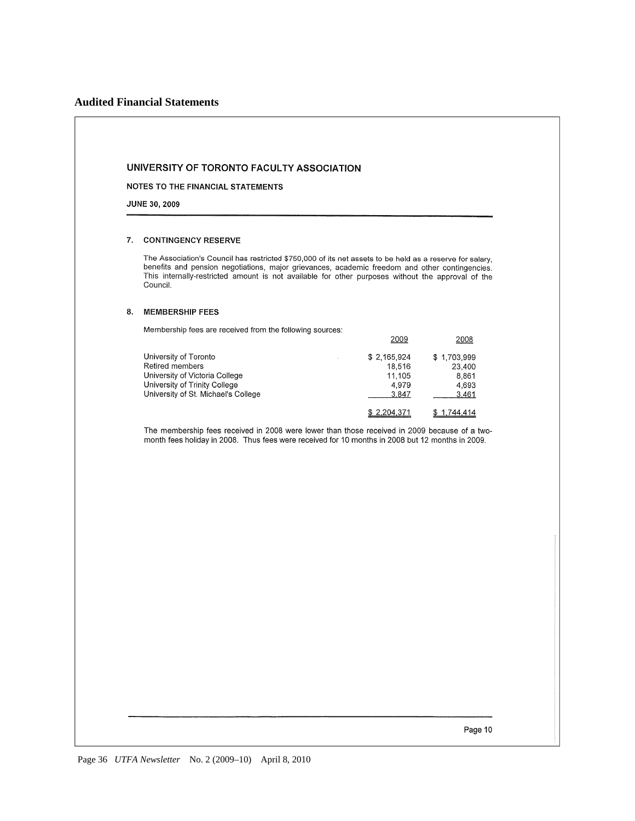## **Audited Financial Statements**

#### UNIVERSITY OF TORONTO FACULTY ASSOCIATION

NOTES TO THE FINANCIAL STATEMENTS

JUNE 30, 2009

#### 7. CONTINGENCY RESERVE

The Association's Council has restricted \$750,000 of its net assets to be held as a reserve for salary, benefits and pension negotiations, major grievances, academic freedom and other contingencies. This internally-restricted amount is not available for other purposes without the approval of the Council.

2009

2008

#### 8. MEMBERSHIP FEES

Membership fees are received from the following sources:

| University of Toronto               | \$2,165,924 | \$1,703,999 |
|-------------------------------------|-------------|-------------|
| Retired members                     | 18.516      | 23,400      |
| University of Victoria College      | 11.105      | 8.861       |
| University of Trinity College       | 4.979       | 4.693       |
| University of St. Michael's College | 3.847       | 3.461       |
|                                     | \$2,204,371 | \$1,744,414 |

The membership fees received in 2008 were lower than those received in 2009 because of a twomonth fees holiday in 2008. Thus fees were received for 10 months in 2008 but 12 months in 2009.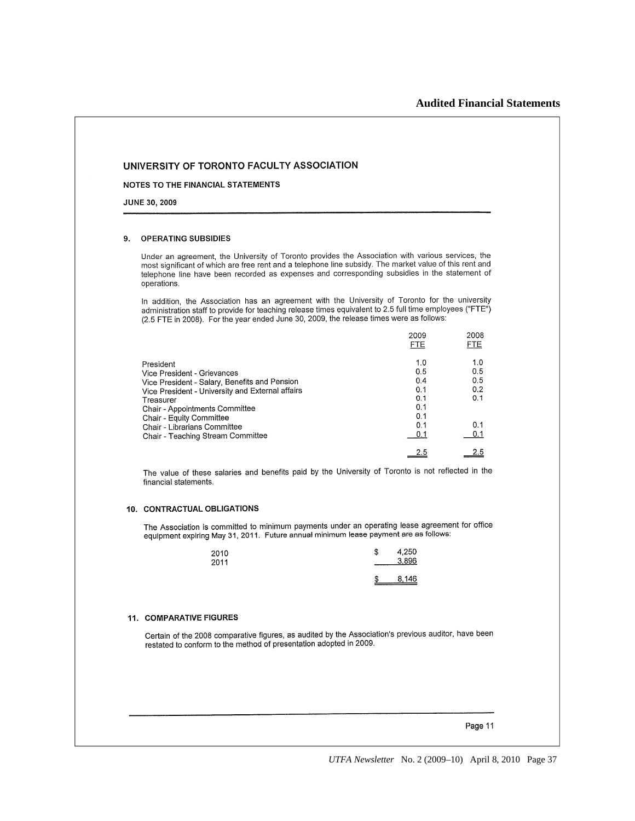#### NOTES TO THE FINANCIAL STATEMENTS

**JUNE 30, 2009** 

#### **OPERATING SUBSIDIES** 9

Under an agreement, the University of Toronto provides the Association with various services, the most significant of which are free rent and a telephone line subsidy. The market value of this rent and most significant of which are free rent and a telephone line subsidy. The market value of this rent and telephone line have been recorded as expenses and corresponding subsidies in the statement of operations.

In addition, the Association has an agreement with the University of Toronto for the university administration staff to provide for teaching release times equivalent to 2.5 full time employees ("FTE") (2.5 FTE in 2008). For the year ended June 30, 2009, the release times were as follows:

|                                                                              | 2009<br><b>FTE</b> | 2008<br><b>FTE</b> |
|------------------------------------------------------------------------------|--------------------|--------------------|
| President                                                                    | 1.0<br>0.5         | 1.0<br>0.5         |
| Vice President - Grievances<br>Vice President - Salary, Benefits and Pension | 0.4                | 0.5                |
| Vice President - University and External affairs<br>Treasurer                | 0.1<br>0.1         | 0.2<br>0.1         |
| Chair - Appointments Committee                                               | 0.1                |                    |
| Chair - Equity Committee<br>Chair - Librarians Committee                     | 0.1<br>0.1         | 0.1                |
| Chair - Teaching Stream Committee                                            | 0.1                | 0.1                |
|                                                                              | 2.5                |                    |

The value of these salaries and benefits paid by the University of Toronto is not reflected in the financial statements.

#### 10. CONTRACTUAL OBLIGATIONS

The Association is committed to minimum payments under an operating lease agreement for office rife Association is committed to minimum payments under an operating rease agreement expiring May 31, 2011. Future annual minimum lease payment are as follows:

| 2010<br>2011 | S  | 4,250<br>3.896 |
|--------------|----|----------------|
|              | \$ | 8,146          |

#### 11. COMPARATIVE FIGURES

Certain of the 2008 comparative figures, as audited by the Association's previous auditor, have been restated to conform to the method of presentation adopted in 2009.